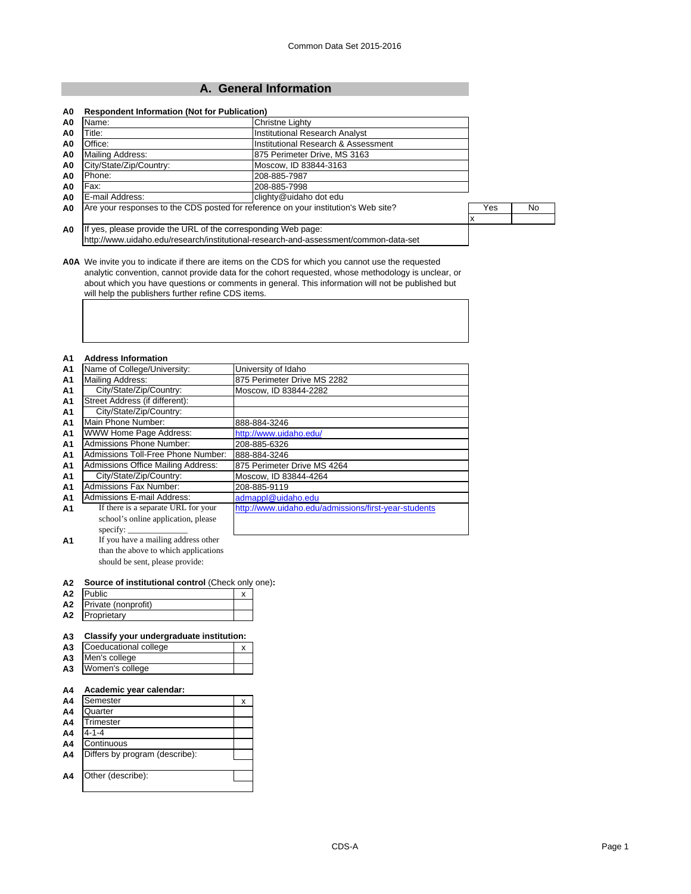# **A. General Information**

| Name:                                                         | <b>Christne Lighty</b>                                                               |     |    |
|---------------------------------------------------------------|--------------------------------------------------------------------------------------|-----|----|
| Title:                                                        | <b>Institutional Research Analyst</b>                                                |     |    |
| Office:                                                       | Institutional Research & Assessment                                                  |     |    |
| Mailing Address:                                              | 875 Perimeter Drive, MS 3163                                                         |     |    |
| City/State/Zip/Country:                                       | Moscow, ID 83844-3163                                                                |     |    |
| Phone:                                                        | 208-885-7987                                                                         |     |    |
| Fax:                                                          | 208-885-7998                                                                         |     |    |
| E-mail Address:                                               | clighty@uidaho dot edu                                                               |     |    |
|                                                               | Are your responses to the CDS posted for reference on your institution's Web site?   | Yes | No |
|                                                               |                                                                                      |     |    |
| If yes, please provide the URL of the corresponding Web page: |                                                                                      |     |    |
|                                                               | http://www.uidaho.edu/research/institutional-research-and-assessment/common-data-set |     |    |

**A0A** We invite you to indicate if there are items on the CDS for which you cannot use the requested analytic convention, cannot provide data for the cohort requested, whose methodology is unclear, or about which you have questions or comments in general. This information will not be published but will help the publishers further refine CDS items.

#### **A1 Address Information**

| .              |                                     |                                                      |
|----------------|-------------------------------------|------------------------------------------------------|
| A <sub>1</sub> | Name of College/University:         | University of Idaho                                  |
| <b>A1</b>      | Mailing Address:                    | 875 Perimeter Drive MS 2282                          |
| A <sub>1</sub> | City/State/Zip/Country:             | Moscow, ID 83844-2282                                |
| A <sub>1</sub> | Street Address (if different):      |                                                      |
| A <sub>1</sub> | City/State/Zip/Country:             |                                                      |
| A <sub>1</sub> | Main Phone Number:                  | 888-884-3246                                         |
| A <sub>1</sub> | WWW Home Page Address:              | http://www.uidaho.edu/                               |
| A <sub>1</sub> | Admissions Phone Number:            | 208-885-6326                                         |
| A <sub>1</sub> | Admissions Toll-Free Phone Number:  | 888-884-3246                                         |
| A <sub>1</sub> | Admissions Office Mailing Address:  | 875 Perimeter Drive MS 4264                          |
| A <sub>1</sub> | City/State/Zip/Country:             | Moscow, ID 83844-4264                                |
| A <sub>1</sub> | Admissions Fax Number:              | 208-885-9119                                         |
| A <sub>1</sub> | <b>Admissions E-mail Address:</b>   | admappl@uidaho.edu                                   |
| A1             | If there is a separate URL for your | http://www.uidaho.edu/admissions/first-year-students |
|                | school's online application, please |                                                      |
|                | specify: $\overline{\phantom{a}}$   |                                                      |

**A1** If you have a mailing address other than the above to which applications should be sent, please provide:

#### **A2 Source of institutional control** (Check only one)**:**

| Α2 | <b>Public</b>       | ۰. |  |
|----|---------------------|----|--|
| A2 | Private (nonprofit) |    |  |
| А2 | Proprietary         |    |  |

## **A3 Classify your undergraduate institution:**

| A <sub>3</sub> | Coeducational college | v |  |
|----------------|-----------------------|---|--|
|                | A3 Men's college      |   |  |
|                | A3 Women's college    |   |  |

### **A4 Academic year calendar:**

| A4             | Semester                       | х |
|----------------|--------------------------------|---|
| A <sub>4</sub> | Quarter                        |   |
| A <sub>4</sub> | Trimester                      |   |
| A4             | $4 - 1 - 4$                    |   |
| A4             | Continuous                     |   |
| A <sub>4</sub> | Differs by program (describe): |   |
|                |                                |   |
| A <sub>4</sub> | Other (describe):              |   |
|                |                                |   |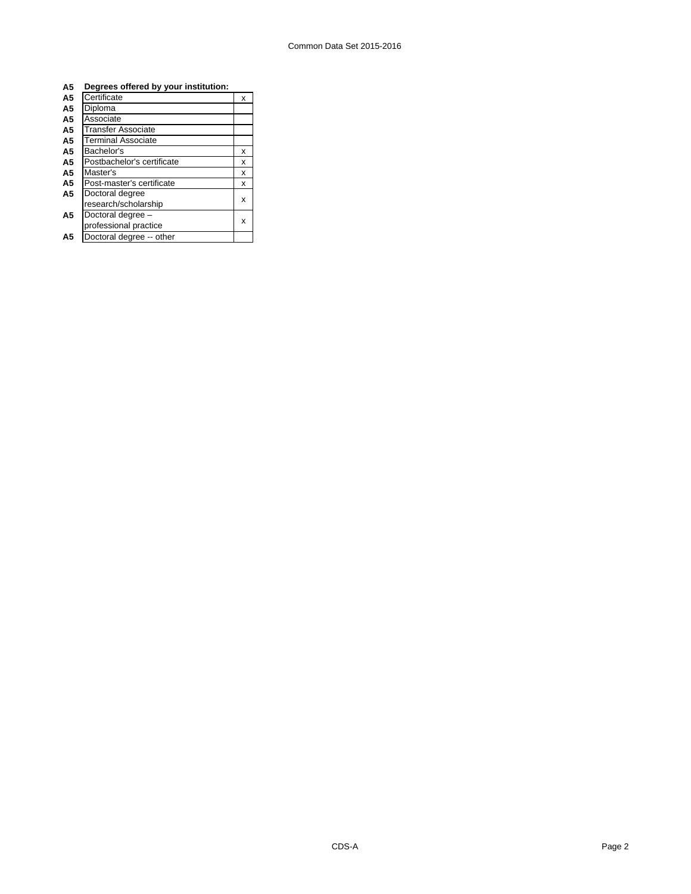| A <sub>5</sub> | Degrees offered by your institution: |   |  |
|----------------|--------------------------------------|---|--|
| A <sub>5</sub> | Certificate                          | x |  |
| A5             | Diploma                              |   |  |
| A5             | Associate                            |   |  |
| A5             | Transfer Associate                   |   |  |
| A5             | <b>Terminal Associate</b>            |   |  |
| A5             | Bachelor's                           | x |  |
| A5             | Postbachelor's certificate           | x |  |
| A5             | Master's                             | x |  |
| A5             | Post-master's certificate            | x |  |
| A <sub>5</sub> | Doctoral degree                      |   |  |
|                | research/scholarship                 | x |  |
| A <sub>5</sub> | Doctoral degree -                    |   |  |
|                | professional practice                | x |  |
| A5             | Doctoral degree -- other             |   |  |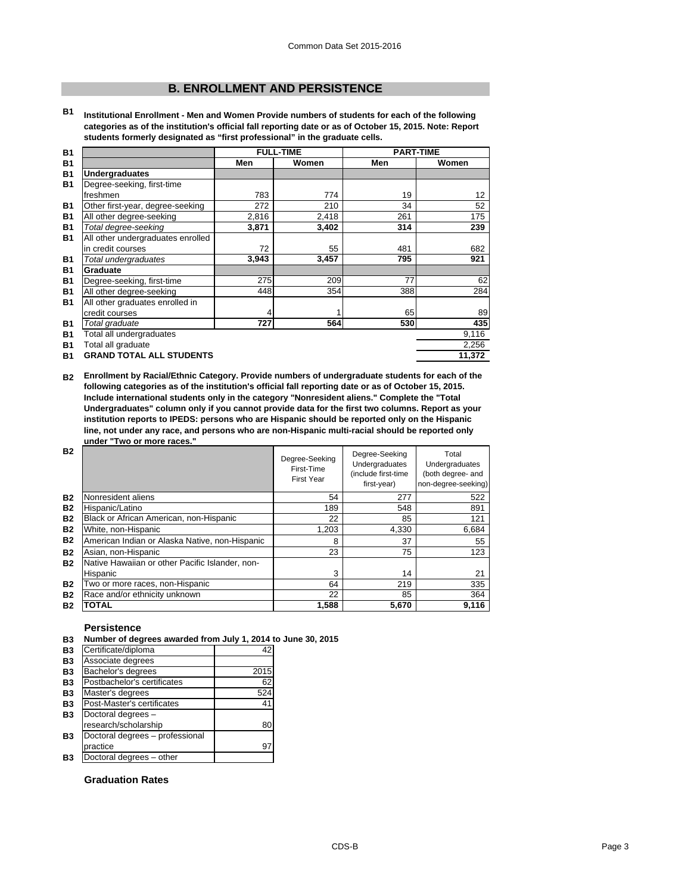# **B. ENROLLMENT AND PERSISTENCE**

**B1 Institutional Enrollment - Men and Women Provide numbers of students for each of the following categories as of the institution's official fall reporting date or as of October 15, 2015. Note: Report students formerly designated as "first professional" in the graduate cells.**

| <b>B1</b> |                                   |       | <b>FULL-TIME</b> | <b>PART-TIME</b> |                 |
|-----------|-----------------------------------|-------|------------------|------------------|-----------------|
| <b>B1</b> |                                   | Men   | Women            | Men              | Women           |
| <b>B1</b> | <b>Undergraduates</b>             |       |                  |                  |                 |
| <b>B1</b> | Degree-seeking, first-time        |       |                  |                  |                 |
|           | freshmen                          | 783   | 774              | 19               | 12 <sup>2</sup> |
| <b>B1</b> | Other first-year, degree-seeking  | 272   | 210              | 34               | 52              |
| <b>B1</b> | All other degree-seeking          | 2,816 | 2,418            | 261              | 175             |
| <b>B1</b> | Total degree-seeking              | 3,871 | 3,402            | 314              | 239             |
| <b>B1</b> | All other undergraduates enrolled |       |                  |                  |                 |
|           | in credit courses                 | 72    | 55               | 481              | 682             |
| <b>B1</b> | Total undergraduates              | 3,943 | 3,457            | 795              | 921             |
| <b>B1</b> | Graduate                          |       |                  |                  |                 |
| <b>B1</b> | Degree-seeking, first-time        | 275   | 209              | 77               | 62              |
| <b>B1</b> | All other degree-seeking          | 448   | 354              | 388              | 284             |
| <b>B1</b> | All other graduates enrolled in   |       |                  |                  |                 |
|           | credit courses                    | 4     | 1                | 65               | 89              |
| <b>B1</b> | Total graduate                    | 727   | 564              | 530              | 435             |
| <b>B1</b> | Total all undergraduates          |       |                  |                  | 9,116           |
| <b>B1</b> | Total all graduate                |       |                  |                  | 2,256           |
| <b>B1</b> | <b>GRAND TOTAL ALL STUDENTS</b>   |       |                  |                  | 11,372          |

**B2 Enrollment by Racial/Ethnic Category. Provide numbers of undergraduate students for each of the following categories as of the institution's official fall reporting date or as of October 15, 2015. Include international students only in the category "Nonresident aliens." Complete the "Total Undergraduates" column only if you cannot provide data for the first two columns. Report as your institution reports to IPEDS: persons who are Hispanic should be reported only on the Hispanic line, not under any race, and persons who are non-Hispanic multi-racial should be reported only under "Two or more races."** 

| <b>B2</b> |                                                 | Degree-Seeking<br>First-Time<br><b>First Year</b> | Degree-Seeking<br>Undergraduates<br>(include first-time<br>first-year) | Total<br>Undergraduates<br>(both degree- and<br>non-degree-seeking) |
|-----------|-------------------------------------------------|---------------------------------------------------|------------------------------------------------------------------------|---------------------------------------------------------------------|
| <b>B2</b> | Nonresident aliens                              | 54                                                | 277                                                                    | 522                                                                 |
| <b>B2</b> | Hispanic/Latino                                 | 189                                               | 548                                                                    | 891                                                                 |
| <b>B2</b> | Black or African American, non-Hispanic         | 22                                                | 85                                                                     | 121                                                                 |
| <b>B2</b> | White, non-Hispanic                             | 1,203                                             | 4,330                                                                  | 6,684                                                               |
| <b>B2</b> | American Indian or Alaska Native, non-Hispanic  | 8                                                 | 37                                                                     | 55                                                                  |
| <b>B2</b> | Asian, non-Hispanic                             | 23                                                | 75                                                                     | 123                                                                 |
| <b>B2</b> | Native Hawaiian or other Pacific Islander, non- |                                                   |                                                                        |                                                                     |
|           | Hispanic                                        | 3                                                 | 14                                                                     | 21                                                                  |
| <b>B2</b> | Two or more races, non-Hispanic                 | 64                                                | 219                                                                    | 335                                                                 |
| <b>B2</b> | Race and/or ethnicity unknown                   | 22                                                | 85                                                                     | 364                                                                 |
| <b>B2</b> | <b>TOTAL</b>                                    | 1,588                                             | 5,670                                                                  | 9.116                                                               |

#### **Persistence**

#### **B3 Number of degrees awarded from July 1, 2014 to June 30, 2015**

| <b>B3</b> | Certificate/diploma             | 42   |
|-----------|---------------------------------|------|
| <b>B3</b> | Associate degrees               |      |
| <b>B3</b> | Bachelor's degrees              | 2015 |
| <b>B3</b> | Postbachelor's certificates     | 62   |
| <b>B3</b> | Master's degrees                | 524  |
| <b>B3</b> | Post-Master's certificates      | 41   |
| <b>B3</b> | Doctoral degrees -              |      |
|           | research/scholarship            | 80   |
| <b>B3</b> | Doctoral degrees - professional |      |
|           | practice                        | 97   |
| Β3        | Doctoral degrees - other        |      |
|           |                                 |      |

# **Graduation Rates**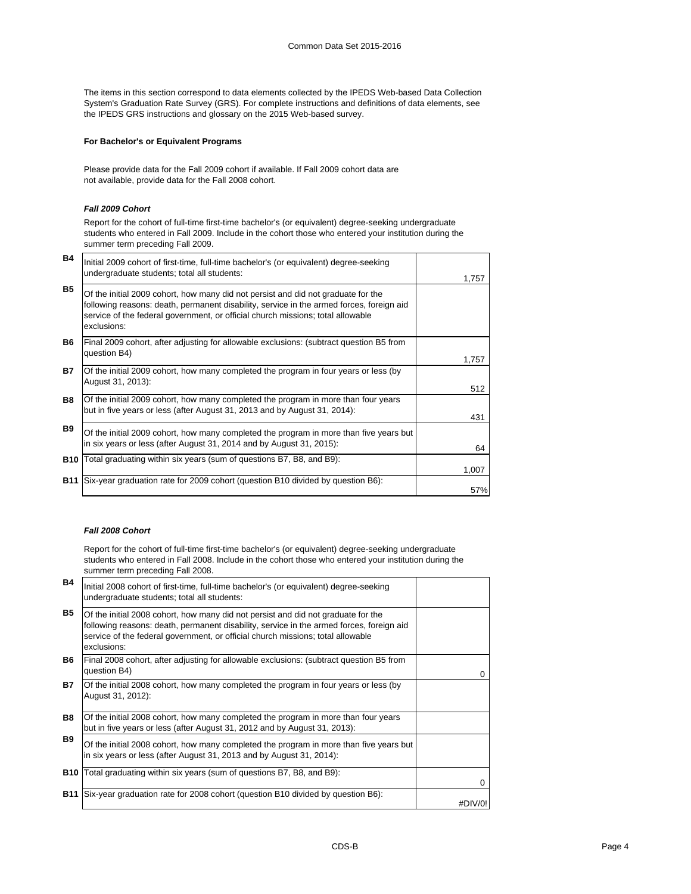The items in this section correspond to data elements collected by the IPEDS Web-based Data Collection System's Graduation Rate Survey (GRS). For complete instructions and definitions of data elements, see the IPEDS GRS instructions and glossary on the 2015 Web-based survey.

## **For Bachelor's or Equivalent Programs**

Please provide data for the Fall 2009 cohort if available. If Fall 2009 cohort data are not available, provide data for the Fall 2008 cohort.

#### *Fall 2009 Cohort*

Report for the cohort of full-time first-time bachelor's (or equivalent) degree-seeking undergraduate students who entered in Fall 2009. Include in the cohort those who entered your institution during the summer term preceding Fall 2009.

| <b>B4</b>  | Initial 2009 cohort of first-time, full-time bachelor's (or equivalent) degree-seeking<br>undergraduate students; total all students:                                                                                                                                           | 1.757 |
|------------|---------------------------------------------------------------------------------------------------------------------------------------------------------------------------------------------------------------------------------------------------------------------------------|-------|
| <b>B5</b>  | Of the initial 2009 cohort, how many did not persist and did not graduate for the<br>following reasons: death, permanent disability, service in the armed forces, foreign aid<br>service of the federal government, or official church missions; total allowable<br>exclusions: |       |
| <b>B6</b>  | Final 2009 cohort, after adjusting for allowable exclusions: (subtract question B5 from<br>question B4)                                                                                                                                                                         | 1,757 |
| <b>B7</b>  | Of the initial 2009 cohort, how many completed the program in four years or less (by<br>August 31, 2013):                                                                                                                                                                       | 512   |
| <b>B8</b>  | Of the initial 2009 cohort, how many completed the program in more than four years<br>but in five years or less (after August 31, 2013 and by August 31, 2014):                                                                                                                 | 431   |
| <b>B</b> 9 | Of the initial 2009 cohort, how many completed the program in more than five years but<br>in six years or less (after August 31, 2014 and by August 31, 2015):                                                                                                                  | 64    |
|            | <b>B10</b> Total graduating within six years (sum of questions B7, B8, and B9):                                                                                                                                                                                                 | 1,007 |
| <b>B11</b> | Six-year graduation rate for 2009 cohort (question B10 divided by question B6):                                                                                                                                                                                                 | 57%   |

#### *Fall 2008 Cohort*

Report for the cohort of full-time first-time bachelor's (or equivalent) degree-seeking undergraduate students who entered in Fall 2008. Include in the cohort those who entered your institution during the summer term preceding Fall 2008.

| <b>B4</b>  | Initial 2008 cohort of first-time, full-time bachelor's (or equivalent) degree-seeking<br>undergraduate students; total all students:                                                                                                                                           |          |
|------------|---------------------------------------------------------------------------------------------------------------------------------------------------------------------------------------------------------------------------------------------------------------------------------|----------|
| <b>B5</b>  | Of the initial 2008 cohort, how many did not persist and did not graduate for the<br>following reasons: death, permanent disability, service in the armed forces, foreign aid<br>service of the federal government, or official church missions; total allowable<br>exclusions: |          |
| B6         | [Final 2008 cohort, after adjusting for allowable exclusions: (subtract question B5 from<br>question B4)                                                                                                                                                                        | 0        |
| <b>B7</b>  | Of the initial 2008 cohort, how many completed the program in four years or less (by<br>August 31, 2012):                                                                                                                                                                       |          |
| <b>B8</b>  | Of the initial 2008 cohort, how many completed the program in more than four years<br>but in five years or less (after August 31, 2012 and by August 31, 2013):                                                                                                                 |          |
| <b>B9</b>  | Of the initial 2008 cohort, how many completed the program in more than five years but<br>in six years or less (after August 31, 2013 and by August 31, 2014):                                                                                                                  |          |
|            | <b>B10</b> Total graduating within six years (sum of questions B7, B8, and B9):                                                                                                                                                                                                 | $\Omega$ |
| <b>B11</b> | Six-year graduation rate for 2008 cohort (question B10 divided by question B6):                                                                                                                                                                                                 | #DIV/0!  |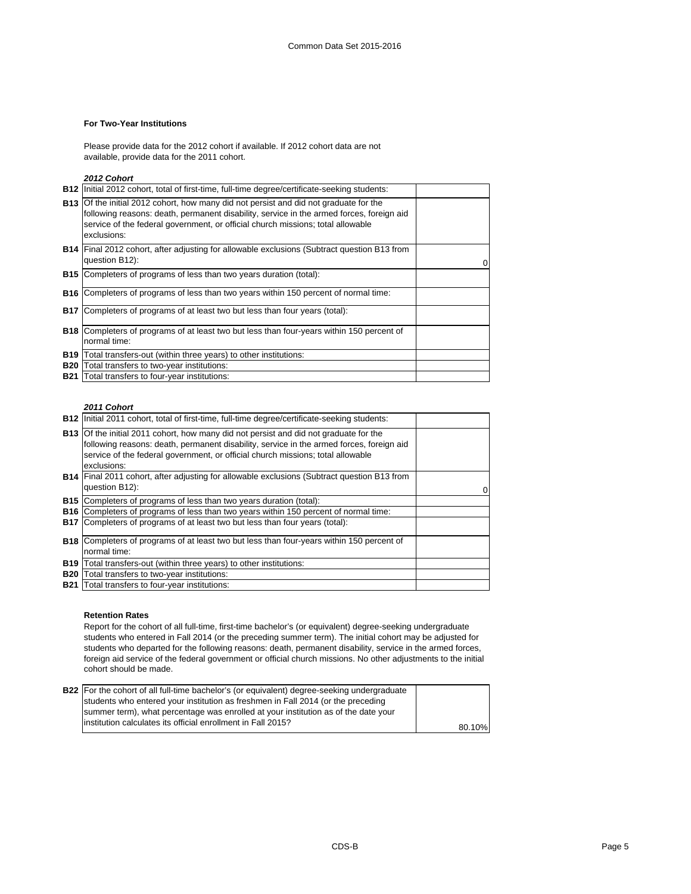## **For Two-Year Institutions**

Please provide data for the 2012 cohort if available. If 2012 cohort data are not available, provide data for the 2011 cohort.

*2012 Cohort*

|            | <b>B12</b> Initial 2012 cohort, total of first-time, full-time degree/certificate-seeking students:                                                                                                                                                                                        |  |
|------------|--------------------------------------------------------------------------------------------------------------------------------------------------------------------------------------------------------------------------------------------------------------------------------------------|--|
|            | <b>B13</b> Of the initial 2012 cohort, how many did not persist and did not graduate for the<br>following reasons: death, permanent disability, service in the armed forces, foreign aid<br>service of the federal government, or official church missions; total allowable<br>exclusions: |  |
|            | <b>B14</b> Final 2012 cohort, after adjusting for allowable exclusions (Subtract question B13 from<br>question B12):                                                                                                                                                                       |  |
|            | <b>B15</b> Completers of programs of less than two years duration (total):                                                                                                                                                                                                                 |  |
|            | <b>B16</b> Completers of programs of less than two years within 150 percent of normal time:                                                                                                                                                                                                |  |
| <b>B17</b> | Completers of programs of at least two but less than four years (total):                                                                                                                                                                                                                   |  |
|            | <b>B18</b> Completers of programs of at least two but less than four-years within 150 percent of<br>normal time:                                                                                                                                                                           |  |
|            | <b>B19</b> Total transfers-out (within three years) to other institutions:                                                                                                                                                                                                                 |  |
| <b>B20</b> | Total transfers to two-year institutions:                                                                                                                                                                                                                                                  |  |
| <b>B21</b> | Total transfers to four-year institutions:                                                                                                                                                                                                                                                 |  |

#### *2011 Cohort*

| <b>B12</b> Initial 2011 cohort, total of first-time, full-time degree/certificate-seeking students:                                                                                                                                                                                        |  |
|--------------------------------------------------------------------------------------------------------------------------------------------------------------------------------------------------------------------------------------------------------------------------------------------|--|
| <b>B13</b> Of the initial 2011 cohort, how many did not persist and did not graduate for the<br>following reasons: death, permanent disability, service in the armed forces, foreign aid<br>service of the federal government, or official church missions; total allowable<br>exclusions: |  |
| <b>B14</b> Final 2011 cohort, after adjusting for allowable exclusions (Subtract question B13 from<br>question B12):                                                                                                                                                                       |  |
| <b>B15</b> Completers of programs of less than two years duration (total):                                                                                                                                                                                                                 |  |
| <b>B16</b> Completers of programs of less than two years within 150 percent of normal time:                                                                                                                                                                                                |  |
| <b>B17</b> Completers of programs of at least two but less than four years (total):                                                                                                                                                                                                        |  |
| <b>B18</b> Completers of programs of at least two but less than four-years within 150 percent of                                                                                                                                                                                           |  |
| normal time:                                                                                                                                                                                                                                                                               |  |
| <b>B19</b> Total transfers-out (within three years) to other institutions:                                                                                                                                                                                                                 |  |
| <b>B20</b> Total transfers to two-year institutions:                                                                                                                                                                                                                                       |  |
| <b>B21</b> Total transfers to four-year institutions:                                                                                                                                                                                                                                      |  |

#### **Retention Rates**

Report for the cohort of all full-time, first-time bachelor's (or equivalent) degree-seeking undergraduate students who entered in Fall 2014 (or the preceding summer term). The initial cohort may be adjusted for students who departed for the following reasons: death, permanent disability, service in the armed forces, foreign aid service of the federal government or official church missions. No other adjustments to the initial cohort should be made.

| <b>B22</b> For the cohort of all full-time bachelor's (or equivalent) degree-seeking undergraduate |        |
|----------------------------------------------------------------------------------------------------|--------|
| students who entered your institution as freshmen in Fall 2014 (or the preceding                   |        |
| summer term), what percentage was enrolled at your institution as of the date your                 |        |
| linstitution calculates its official enrollment in Fall 2015?                                      | 80.10% |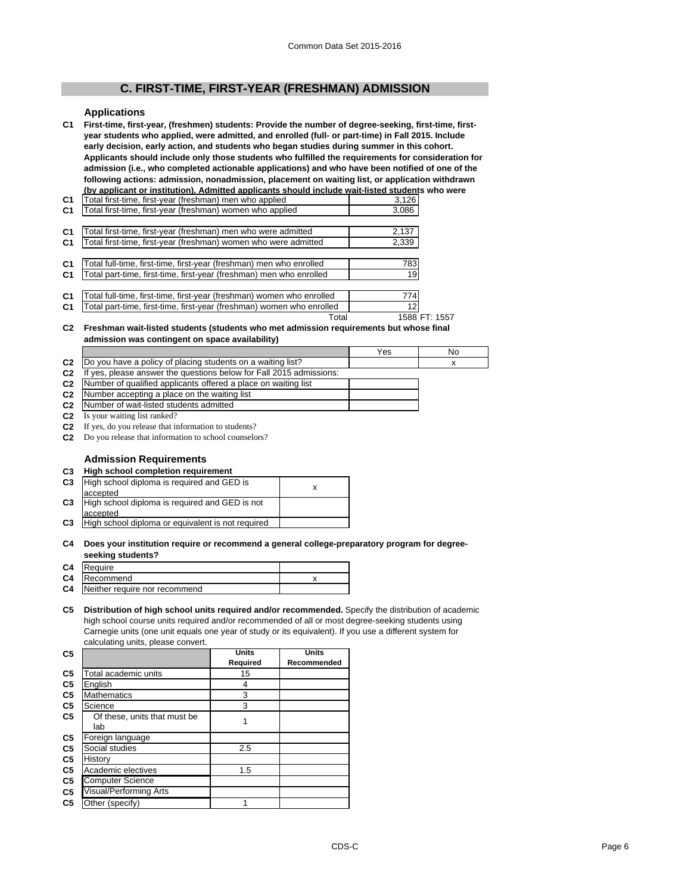# **C. FIRST-TIME, FIRST-YEAR (FRESHMAN) ADMISSION**

#### **Applications**

**C1 First-time, first-year, (freshmen) students: Provide the number of degree-seeking, first-time, firstyear students who applied, were admitted, and enrolled (full- or part-time) in Fall 2015. Include early decision, early action, and students who began studies during summer in this cohort. Applicants should include only those students who fulfilled the requirements for consideration for admission (i.e., who completed actionable applications) and who have been notified of one of the following actions: admission, nonadmission, placement on waiting list, or application withdrawn (by applicant or institution). Admitted applicants should include wait-listed students who were** 

| C <sub>1</sub> | Total first-time, first-year (freshman) men who applied               | 3,126 |
|----------------|-----------------------------------------------------------------------|-------|
| C <sub>1</sub> | Total first-time, first-year (freshman) women who applied             | 3,086 |
|                |                                                                       |       |
| C <sub>1</sub> | Total first-time, first-year (freshman) men who were admitted         | 2,137 |
| C <sub>1</sub> | Total first-time, first-year (freshman) women who were admitted       | 2,339 |
|                |                                                                       |       |
| C <sub>1</sub> | Total full-time, first-time, first-year (freshman) men who enrolled   | 783   |
| C <sub>1</sub> | Total part-time, first-time, first-year (freshman) men who enrolled   | 19    |
|                |                                                                       |       |
| C <sub>1</sub> | Total full-time, first-time, first-year (freshman) women who enrolled | 774   |
| C <sub>1</sub> | Total part-time, first-time, first-year (freshman) women who enrolled | 12    |

Total 1588 FT: 1557

#### **C2 Freshman wait-listed students (students who met admission requirements but whose final admission was contingent on space availability)**

|                |                                                                            | Yes | No |
|----------------|----------------------------------------------------------------------------|-----|----|
|                | C <sub>2</sub> Do you have a policy of placing students on a waiting list? |     |    |
| C <sub>2</sub> | If yes, please answer the questions below for Fall 2015 admissions:        |     |    |
|                | 00 - Museum of analified explicants offered a place an unitive list        |     |    |

- **C2 C2** Number of qualified applicants offered a place on waiting list Number accepting a place on the waiting list
- **C2** Number of wait-listed students admitted
- **C2** Is your waiting list ranked?
- **C2** If yes, do you release that information to students?
- **C2** Do you release that information to school counselors?

## **Admission Requirements**

## **C3 High school completion requirement**

#### **C4 Does your institution require or recommend a general college-preparatory program for degreeseeking students?**

|    | C4 Require                    |  |
|----|-------------------------------|--|
|    | C4 Recommend                  |  |
| C4 | Neither require nor recommend |  |
|    |                               |  |

#### **C5 Distribution of high school units required and/or recommended.** Specify the distribution of academic high school course units required and/or recommended of all or most degree-seeking students using Carnegie units (one unit equals one year of study or its equivalent). If you use a different system for calculating units, please convert.

| C <sub>5</sub> |                                     | <b>Units</b> | <b>Units</b> |
|----------------|-------------------------------------|--------------|--------------|
|                |                                     | Required     | Recommended  |
| C <sub>5</sub> | Total academic units                | 15           |              |
| C <sub>5</sub> | English                             | 4            |              |
| C <sub>5</sub> | <b>Mathematics</b>                  | 3            |              |
| C <sub>5</sub> | Science                             | 3            |              |
| C5             | Of these, units that must be<br>lab |              |              |
| C <sub>5</sub> | Foreign language                    |              |              |
| C <sub>5</sub> | Social studies                      | 2.5          |              |
| C <sub>5</sub> | History                             |              |              |
| C5             | Academic electives                  | 1.5          |              |
| C <sub>5</sub> | <b>Computer Science</b>             |              |              |
| C5             | <b>Visual/Performing Arts</b>       |              |              |
| C <sub>5</sub> | Other (specify)                     |              |              |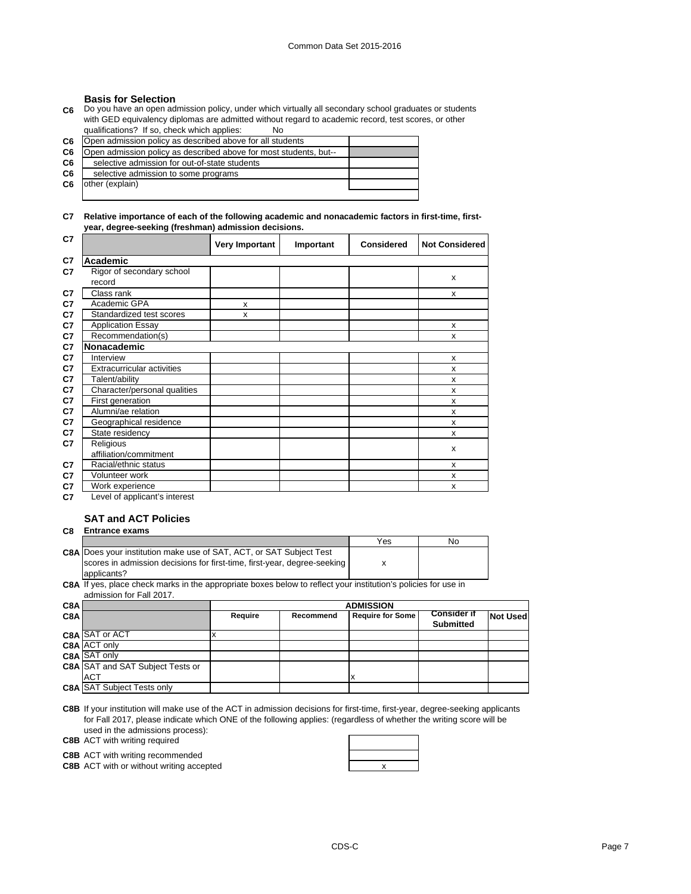## **Basis for Selection**

**C6** Do you have an open admission policy, under which virtually all secondary school graduates or students with GED equivalency diplomas are admitted without regard to academic record, test scores, or other qualifications? If so, check which applies: No

| C6             | Open admission policy as described above for all students         |  |
|----------------|-------------------------------------------------------------------|--|
| C6             | Open admission policy as described above for most students, but-- |  |
| C <sub>6</sub> | selective admission for out-of-state students                     |  |
| C6             | selective admission to some programs                              |  |
| C6             | other (explain)                                                   |  |
|                |                                                                   |  |

**C7 Relative importance of each of the following academic and nonacademic factors in first-time, firstyear, degree-seeking (freshman) admission decisions.**

| C7 |                                     | <b>Very Important</b> | Important | <b>Considered</b> | <b>Not Considered</b> |
|----|-------------------------------------|-----------------------|-----------|-------------------|-----------------------|
| C7 | Academic                            |                       |           |                   |                       |
| C7 | Rigor of secondary school<br>record |                       |           |                   | X                     |
| C7 | Class rank                          |                       |           |                   | X                     |
| C7 | Academic GPA                        | X                     |           |                   |                       |
| C7 | Standardized test scores            | X                     |           |                   |                       |
| C7 | <b>Application Essay</b>            |                       |           |                   | X                     |
| C7 | Recommendation(s)                   |                       |           |                   | x                     |
| C7 | Nonacademic                         |                       |           |                   |                       |
| C7 | Interview                           |                       |           |                   | X                     |
| C7 | <b>Extracurricular activities</b>   |                       |           |                   | X                     |
| C7 | Talent/ability                      |                       |           |                   | X                     |
| C7 | Character/personal qualities        |                       |           |                   | X                     |
| C7 | First generation                    |                       |           |                   | X                     |
| C7 | Alumni/ae relation                  |                       |           |                   | X                     |
| C7 | Geographical residence              |                       |           |                   | $\mathsf{x}$          |
| C7 | State residency                     |                       |           |                   | X                     |
| C7 | Religious<br>affiliation/commitment |                       |           |                   | X                     |
| C7 | Racial/ethnic status                |                       |           |                   | x                     |
| C7 | Volunteer work                      |                       |           |                   | X                     |
| C7 | Work experience                     |                       |           |                   | X                     |
| C7 | Level of applicant's interest       |                       |           |                   |                       |

# **SAT and ACT Policies**

## **C8 Entrance exams**

|                                                                            | Yes | No |
|----------------------------------------------------------------------------|-----|----|
| <b>C8A</b> Does your institution make use of SAT, ACT, or SAT Subject Test |     |    |
| scores in admission decisions for first-time, first-year, degree-seeking   |     |    |
| applicants?                                                                |     |    |
|                                                                            |     |    |

**C8A** If yes, place check marks in the appropriate boxes below to reflect your institution's policies for use in admission for Fall 2017.

| C8A |                                         |         | <b>ADMISSION</b> |                         |                    |                 |  |
|-----|-----------------------------------------|---------|------------------|-------------------------|--------------------|-----------------|--|
| C8A |                                         | Require | Recommend        | <b>Require for Some</b> | <b>Consider if</b> | <b>Not Used</b> |  |
|     |                                         |         |                  |                         | <b>Submitted</b>   |                 |  |
|     | C8A SAT or ACT                          |         |                  |                         |                    |                 |  |
|     | C8A ACT only                            |         |                  |                         |                    |                 |  |
|     | C8A SAT only                            |         |                  |                         |                    |                 |  |
|     | <b>C8A</b> SAT and SAT Subject Tests or |         |                  |                         |                    |                 |  |
|     | <b>ACT</b>                              |         |                  | ΙX                      |                    |                 |  |
|     | <b>C8A SAT Subject Tests only</b>       |         |                  |                         |                    |                 |  |

**C8B** If your institution will make use of the ACT in admission decisions for first-time, first-year, degree-seeking applicants for Fall 2017, please indicate which ONE of the following applies: (regardless of whether the writing score will be used in the admissions process): ÷.

**C8B** ACT with writing required

**C8B** ACT with writing recommended

**C8B** ACT with or without writing accepted **ACT Reserves Reserves Reserves Reserves Reserves Reserves Reserves Reserves Reserves Reserves Reserves Reserves Reserves Reserves Reserves Reserve**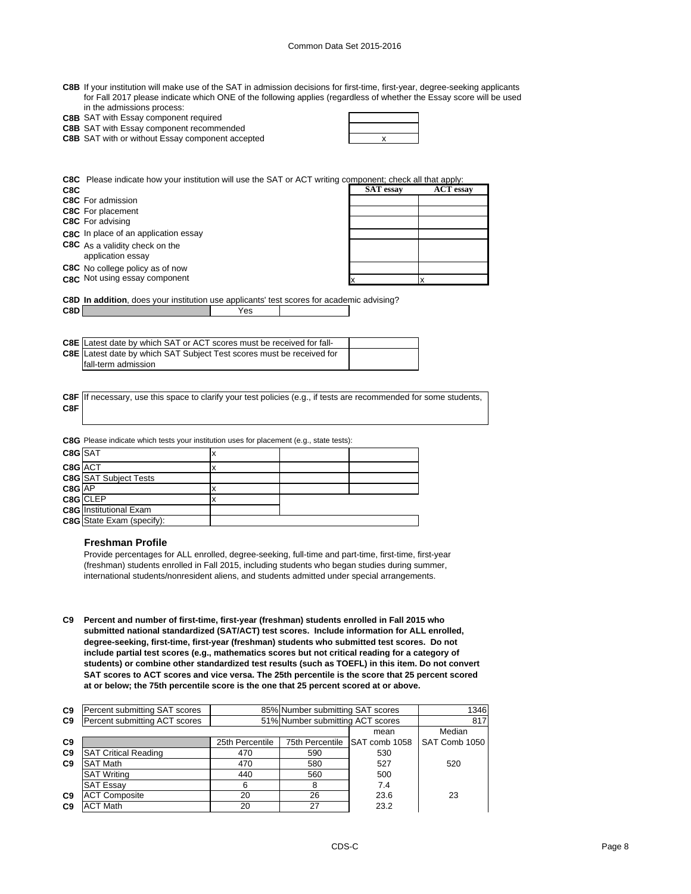- **C8B** If your institution will make use of the SAT in admission decisions for first-time, first-year, degree-seeking applicants for Fall 2017 please indicate which ONE of the following applies (regardless of whether the Essay score will be used in the admissions process:
- **C8B** SAT with Essay component required

**C8B** SAT with Essay component recommended

| <b>C8B</b> SAT with or without Essay component accepted |  |
|---------------------------------------------------------|--|

**C8C** Please indicate how your institution will use the SAT or ACT writing component; check all that apply:

| C8C |                                            | <b>SAT</b> essay | <b>ACT</b> essay |
|-----|--------------------------------------------|------------------|------------------|
|     | <b>C8C</b> For admission                   |                  |                  |
|     | <b>C8C</b> For placement                   |                  |                  |
|     | <b>C8C</b> For advising                    |                  |                  |
|     | C8C In place of an application essay       |                  |                  |
|     | <b>C8C</b> As a validity check on the      |                  |                  |
|     | application essay                          |                  |                  |
|     | C8C No college policy as of now            |                  |                  |
|     | C <sub>8</sub> C Not using essay component |                  |                  |

**C8D In addition**, does your institution use applicants' test scores for academic advising? **C8D** Yes

| <b>C8E</b> Latest date by which SAT or ACT scores must be received for fall- |  |
|------------------------------------------------------------------------------|--|
| C8E Latest date by which SAT Subject Test scores must be received for        |  |
| Ifall-term admission                                                         |  |

**C8F C8F** If necessary, use this space to clarify your test policies (e.g., if tests are recommended for some students,

**C8G** Please indicate which tests your institution uses for placement (e.g., state tests):

| C8G SAT                          |          |  |
|----------------------------------|----------|--|
| C8G ACT                          |          |  |
| <b>C8G</b> SAT Subject Tests     |          |  |
| C8G AP                           |          |  |
|                                  |          |  |
| <b>C8G</b> Institutional Exam    |          |  |
| <b>C8G</b> State Exam (specify): |          |  |
|                                  | C8G CLEP |  |

#### **Freshman Profile**

Provide percentages for ALL enrolled, degree-seeking, full-time and part-time, first-time, first-year (freshman) students enrolled in Fall 2015, including students who began studies during summer, international students/nonresident aliens, and students admitted under special arrangements.

**C9 Percent and number of first-time, first-year (freshman) students enrolled in Fall 2015 who submitted national standardized (SAT/ACT) test scores. Include information for ALL enrolled, degree-seeking, first-time, first-year (freshman) students who submitted test scores. Do not include partial test scores (e.g., mathematics scores but not critical reading for a category of students) or combine other standardized test results (such as TOEFL) in this item. Do not convert SAT scores to ACT scores and vice versa. The 25th percentile is the score that 25 percent scored at or below; the 75th percentile score is the one that 25 percent scored at or above.**

| C9             | Percent submitting SAT scores | 85% Number submitting SAT scores |                 |               | 1346          |
|----------------|-------------------------------|----------------------------------|-----------------|---------------|---------------|
| C <sub>9</sub> | Percent submitting ACT scores | 51% Number submitting ACT scores |                 | 817           |               |
|                |                               | mean                             |                 | Median        |               |
| C <sub>9</sub> |                               | 25th Percentile                  | 75th Percentile | SAT comb 1058 | SAT Comb 1050 |
| C <sub>9</sub> | <b>SAT Critical Reading</b>   | 470                              | 590             | 530           |               |
| C <sub>9</sub> | <b>SAT Math</b>               | 470                              | 580             | 527           | 520           |
|                | <b>SAT Writing</b>            | 440                              | 560             | 500           |               |
|                | <b>SAT Essay</b>              | 6                                | 8               | 7.4           |               |
| C <sub>9</sub> | <b>ACT Composite</b>          | 20                               | 26              | 23.6          | 23            |
| C9             | <b>ACT Math</b>               | 20                               | 27              | 23.2          |               |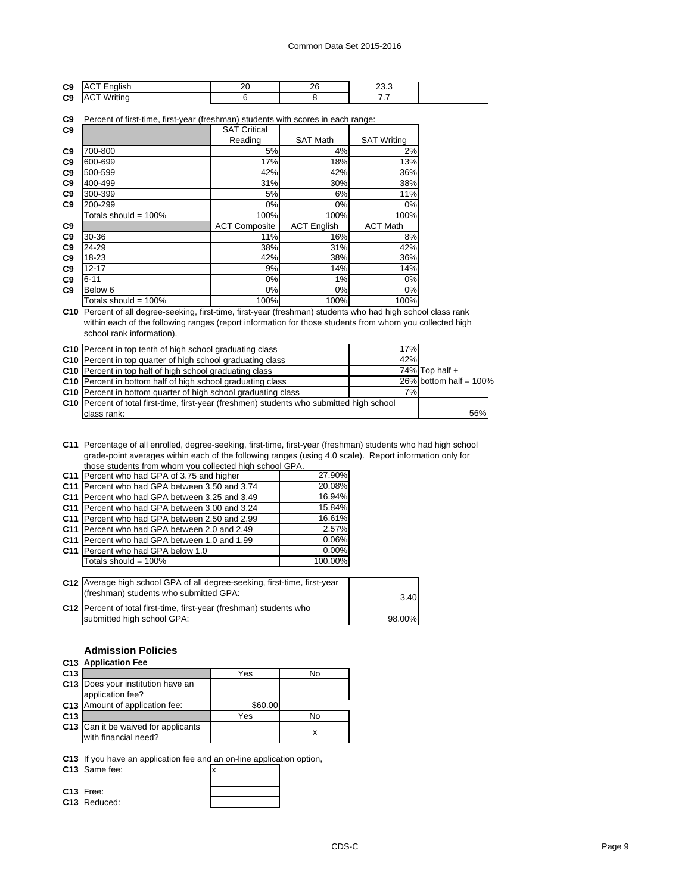|                |  | ״ |    |
|----------------|--|---|----|
| C <sub>9</sub> |  |   | __ |
| C <sub>9</sub> |  |   | .  |

**C9** Percent of first-time, first-year (freshman) students with scores in each range:

| C <sub>9</sub> |                         | <b>SAT Critical</b>  |                    |                    |
|----------------|-------------------------|----------------------|--------------------|--------------------|
|                |                         | Reading              | <b>SAT Math</b>    | <b>SAT Writing</b> |
| C <sub>9</sub> | 700-800                 | 5%                   | 4%                 | 2%                 |
| C <sub>9</sub> | 600-699                 | 17%                  | 18%                | 13%                |
| C <sub>9</sub> | 500-599                 | 42%                  | 42%                | 36%                |
| C <sub>9</sub> | 400-499                 | 31%                  | 30%                | 38%                |
| C <sub>9</sub> | 300-399                 | 5%                   | 6%                 | 11%                |
| C <sub>9</sub> | 200-299                 | 0%                   | $0\%$              | 0%                 |
|                | Totals should = $100\%$ | 100%                 | 100%               | 100%               |
| C <sub>9</sub> |                         | <b>ACT Composite</b> | <b>ACT English</b> | <b>ACT Math</b>    |
| C9             | 30-36                   | 11%                  | 16%                | 8%                 |
| C <sub>9</sub> | 24-29                   | 38%                  | 31%                | 42%                |
| C <sub>9</sub> | 18-23                   | 42%                  | 38%                | 36%                |
| C <sub>9</sub> | $12 - 17$               | 9%                   | 14%                | 14%                |
| C <sub>9</sub> | $6 - 11$                | 0%                   | 1%                 | 0%                 |
| C <sub>9</sub> | Below <sub>6</sub>      | $0\%$                | $0\%$              | 0%                 |
|                | Totals should = $100\%$ | 100%                 | 100%               | 100%               |

**C10** Percent of all degree-seeking, first-time, first-year (freshman) students who had high school class rank within each of the following ranges (report information for those students from whom you collected high school rank information).

| <b>C10</b> Percent in top tenth of high school graduating class                                  | 17% |                           |
|--------------------------------------------------------------------------------------------------|-----|---------------------------|
| <b>C10</b> Percent in top quarter of high school graduating class                                | 42% |                           |
| C10 Percent in top half of high school graduating class                                          |     | 74% Top half $+$          |
| C <sub>10</sub> Percent in bottom half of high school graduating class                           |     | $26\%$ bottom half = 100% |
| C10 Percent in bottom quarter of high school graduating class                                    | 7%  |                           |
| <b>C10</b> Percent of total first-time, first-year (freshmen) students who submitted high school |     |                           |
| class rank:                                                                                      |     | 56%                       |

**C11** Percentage of all enrolled, degree-seeking, first-time, first-year (freshman) students who had high school grade-point averages within each of the following ranges (using 4.0 scale). Report information only for those students from whom you collected high school GPA.

| C11 Percent who had GPA of 3.75 and higher    | 27.90%   |
|-----------------------------------------------|----------|
| C11 Percent who had GPA between 3.50 and 3.74 | 20.08%   |
| C11 Percent who had GPA between 3.25 and 3.49 | 16.94%   |
| C11 Percent who had GPA between 3.00 and 3.24 | 15.84%   |
| C11 Percent who had GPA between 2.50 and 2.99 | 16.61%   |
| C11 Percent who had GPA between 2.0 and 2.49  | 2.57%    |
| C11 Percent who had GPA between 1.0 and 1.99  | 0.06%    |
| C11 Percent who had GPA below 1.0             | $0.00\%$ |
| Totals should = 100%                          | 100.00%  |
|                                               |          |

| C12 Average high school GPA of all degree-seeking, first-time, first-year<br>(freshman) students who submitted GPA: | 3.40   |
|---------------------------------------------------------------------------------------------------------------------|--------|
| C12 Percent of total first-time, first-year (freshman) students who<br>submitted high school GPA:                   | 98.00% |

# **Admission Policies**

# **C13 Application Fee**

| C <sub>13</sub> |                                                             | Yes     | No |
|-----------------|-------------------------------------------------------------|---------|----|
|                 | C13 Does your institution have an<br>application fee?       |         |    |
|                 | C13 Amount of application fee:                              | \$60.00 |    |
| C <sub>13</sub> |                                                             | Yes     | No |
|                 | C13 Can it be waived for applicants<br>with financial need? |         |    |

**C13** If you have an application fee and an on-line application option,

**C13** Same fee:  $\overline{x}$ 

| C13 Free:    |  |
|--------------|--|
| C13 Reduced: |  |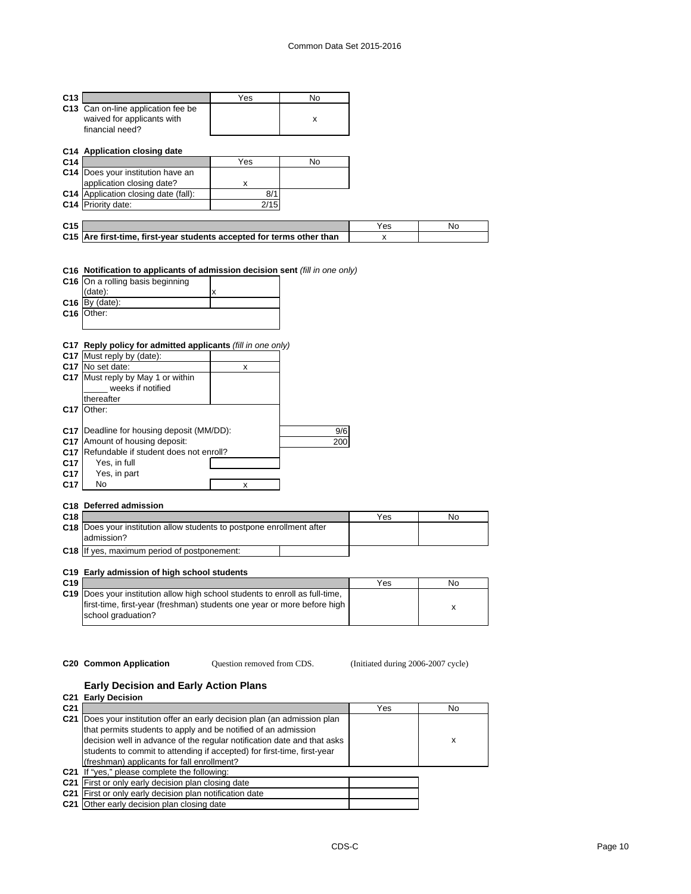| C13             |                                                                       | Yes  | No  |     |    |
|-----------------|-----------------------------------------------------------------------|------|-----|-----|----|
|                 | C13 Can on-line application fee be                                    |      |     |     |    |
|                 | waived for applicants with                                            |      | x   |     |    |
|                 | financial need?                                                       |      |     |     |    |
|                 |                                                                       |      |     |     |    |
|                 | C14 Application closing date                                          |      |     |     |    |
| C14             |                                                                       | Yes  | No  |     |    |
|                 | C14 Does your institution have an                                     |      |     |     |    |
|                 | application closing date?                                             | x    |     |     |    |
|                 | C14 Application closing date (fall):                                  | 8/1  |     |     |    |
|                 | C14 Priority date:                                                    | 2/15 |     |     |    |
|                 |                                                                       |      |     |     |    |
| C <sub>15</sub> |                                                                       |      |     | Yes | No |
|                 | C15 Are first-time, first-year students accepted for terms other than |      |     | x   |    |
|                 | (date):<br>$C16$ By (date):<br>C <sub>16</sub> Other:                 | x    |     |     |    |
|                 | C17 Reply policy for admitted applicants (fill in one only)           |      |     |     |    |
|                 | C17 Must reply by (date):                                             |      |     |     |    |
|                 | C <sub>17</sub> No set date:                                          | x    |     |     |    |
|                 | C17 Must reply by May 1 or within                                     |      |     |     |    |
|                 | weeks if notified                                                     |      |     |     |    |
|                 | thereafter                                                            |      |     |     |    |
|                 | C17 Other:                                                            |      |     |     |    |
|                 |                                                                       |      |     |     |    |
|                 | C17   Deadline for housing deposit (MM/DD):                           |      | 9/6 |     |    |
|                 | C17 Amount of housing deposit:                                        |      | 200 |     |    |
|                 | C17 Refundable if student does not enroll?                            |      |     |     |    |
| C <sub>17</sub> | Yes, in full                                                          |      |     |     |    |

| C <sub>17</sub> | Yes, in part |  |
|-----------------|--------------|--|
| C17             | No.          |  |
|                 |              |  |

# **C18 Deferred admission**

| C <sub>18</sub> |                                                                              | Yes | No |
|-----------------|------------------------------------------------------------------------------|-----|----|
|                 | <b>C18</b> Does your institution allow students to postpone enrollment after |     |    |
|                 | ladmission?                                                                  |     |    |
|                 | <b>C18</b> If yes, maximum period of postponement:                           |     |    |

## **C19 Early admission of high school students**

| C <sub>19</sub> |                                                                              | Yes | No |
|-----------------|------------------------------------------------------------------------------|-----|----|
|                 | C19 Does your institution allow high school students to enroll as full-time. |     |    |
|                 | first-time, first-year (freshman) students one year or more before high      |     |    |
|                 | school graduation?                                                           |     |    |

Question removed from CDS.

**C20 Common Application Question removed from CDS.** (Initiated during 2006-2007 cycle)

## **Early Decision and Early Action Plans**

**C21 Early Decision**

| x |
|---|
|   |
|   |
|   |
|   |
|   |
|   |
|   |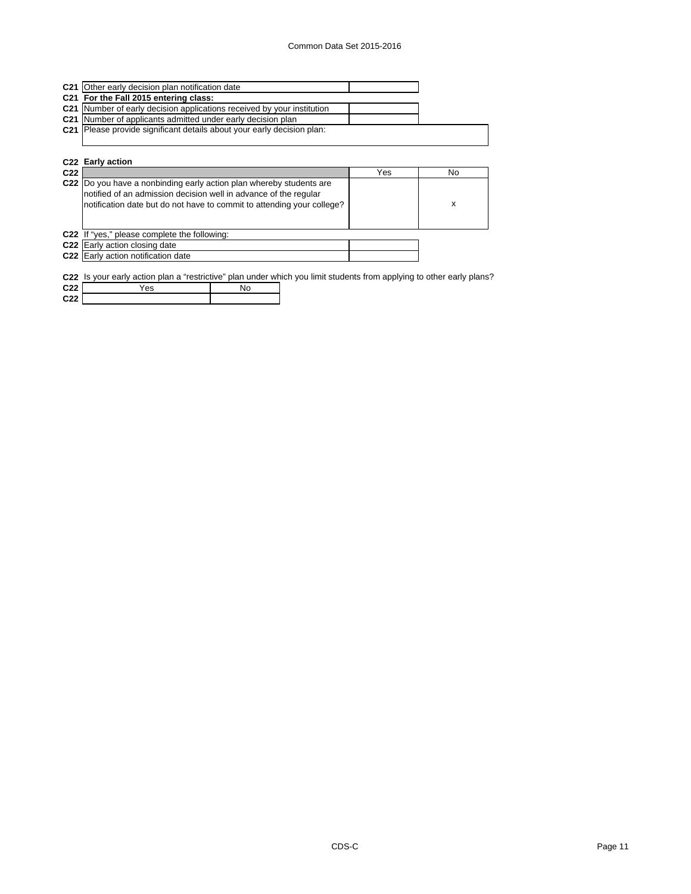| <b>C21</b> Other early decision plan notification date                        |  |
|-------------------------------------------------------------------------------|--|
| C21 For the Fall 2015 entering class:                                         |  |
| C21 Number of early decision applications received by your institution        |  |
| <b>C21</b> Number of applicants admitted under early decision plan            |  |
| <b>C21</b> Please provide significant details about your early decision plan: |  |
|                                                                               |  |
|                                                                               |  |
| C <sub>22</sub> Farly action                                                  |  |

|                 | <b>UZZ LAIIV AULIUII</b>                                                                                                                                                                                          |     |    |
|-----------------|-------------------------------------------------------------------------------------------------------------------------------------------------------------------------------------------------------------------|-----|----|
| C <sub>22</sub> |                                                                                                                                                                                                                   | Yes | No |
|                 | C22 Do you have a nonbinding early action plan whereby students are<br>notified of an admission decision well in advance of the regular<br>notification date but do not have to commit to attending your college? |     | х  |
|                 | C22 If "yes," please complete the following:                                                                                                                                                                      |     |    |
|                 | C <sub>22</sub> Early action closing date                                                                                                                                                                         |     |    |
|                 | C22 Early action notification date                                                                                                                                                                                |     |    |
|                 |                                                                                                                                                                                                                   |     |    |

**C22** Is your early action plan a "restrictive" plan under which you limit students from applying to other early plans?

| C <sub>22</sub> | Yes | No |
|-----------------|-----|----|
| C <sub>22</sub> |     |    |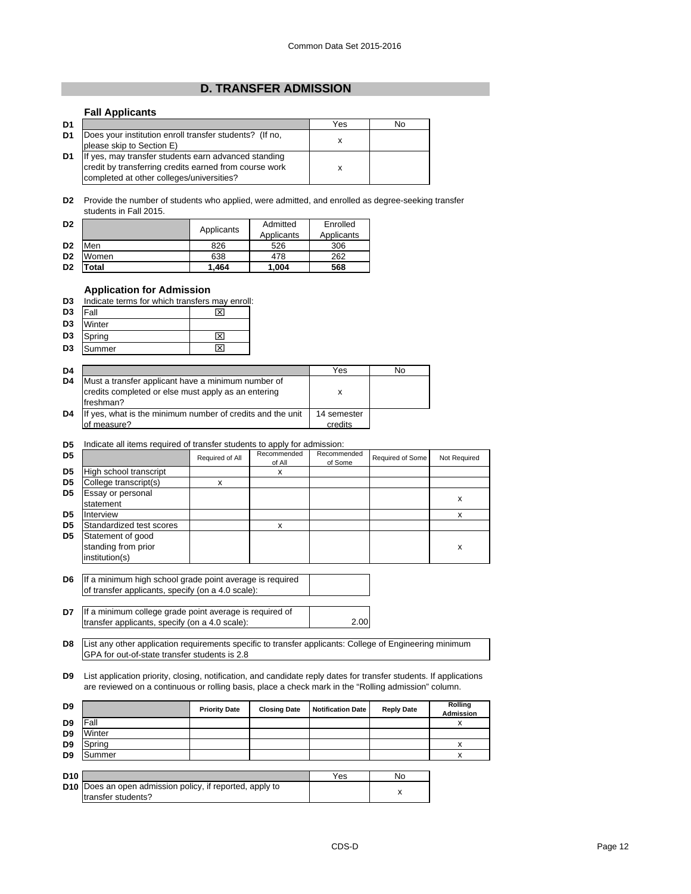# **D. TRANSFER ADMISSION**

## **Fall Applicants**

| D <sub>1</sub> |                                                         | Yes | No |
|----------------|---------------------------------------------------------|-----|----|
| D <sub>1</sub> | Does your institution enroll transfer students? (If no, |     |    |
|                | please skip to Section E)                               |     |    |
| D <sub>1</sub> | If yes, may transfer students earn advanced standing    |     |    |
|                | credit by transferring credits earned from course work  |     |    |
|                | completed at other colleges/universities?               |     |    |

**D2** Provide the number of students who applied, were admitted, and enrolled as degree-seeking transfer students in Fall 2015.

| D <sub>2</sub> |       | Applicants | Admitted   | Enrolled   |
|----------------|-------|------------|------------|------------|
|                |       |            | Applicants | Applicants |
| D <sub>2</sub> | Men   | 826        | 526        | 306        |
| D <sub>2</sub> | Women | 638        | 478        | 262        |
| D <sub>2</sub> | otal  | 1.464      | 1,004      | 568        |

## **Application for Admission**

| D <sub>3</sub> | Indicate terms for which transfers may enroll: |  |
|----------------|------------------------------------------------|--|
|                |                                                |  |

| D <sub>3</sub> | <b>Fall</b> | ⊠                       |
|----------------|-------------|-------------------------|
| D <sub>3</sub> | Winter      |                         |
| D <sub>3</sub> | Spring      | $\overline{\mathbf{x}}$ |
| D <sub>3</sub> | Summer      | ⊠                       |

| D <sub>4</sub> |                                                                                                                         | Yes                    | No |
|----------------|-------------------------------------------------------------------------------------------------------------------------|------------------------|----|
| D <sub>4</sub> | Must a transfer applicant have a minimum number of<br>credits completed or else must apply as an entering<br>Ifreshman? |                        |    |
| D4             | If yes, what is the minimum number of credits and the unit<br>of measure?                                               | 14 semester<br>credits |    |

#### **D5** Indicate all items required of transfer students to apply for admission:

| D5             |                          | Required of All | Recommended<br>of All | Recommended<br>of Some | Required of Some | Not Required |
|----------------|--------------------------|-----------------|-----------------------|------------------------|------------------|--------------|
| D <sub>5</sub> | High school transcript   |                 | x                     |                        |                  |              |
| D <sub>5</sub> | College transcript(s)    | x               |                       |                        |                  |              |
| D <sub>5</sub> | Essay or personal        |                 |                       |                        |                  |              |
|                | statement                |                 |                       |                        |                  | X            |
| D <sub>5</sub> | Interview                |                 |                       |                        |                  | x            |
| D5             | Standardized test scores |                 | x                     |                        |                  |              |
| D <sub>5</sub> | Statement of good        |                 |                       |                        |                  |              |
|                | standing from prior      |                 |                       |                        |                  | x            |
|                | institution(s)           |                 |                       |                        |                  |              |
|                |                          |                 |                       |                        |                  |              |

- **D6** If a minimum high school grade point average is required of transfer applicants, specify (on a 4.0 scale):
- **D7** 2.00 If a minimum college grade point average is required of transfer applicants, specify (on a 4.0 scale):
- **D8** List any other application requirements specific to transfer applicants: College of Engineering minimum GPA for out-of-state transfer students is 2.8

**D9** List application priority, closing, notification, and candidate reply dates for transfer students. If applications are reviewed on a continuous or rolling basis, place a check mark in the "Rolling admission" column.

| D <sub>9</sub>  |                                                                                       | <b>Priority Date</b> | <b>Closing Date</b> | <b>Notification Date</b> | <b>Reply Date</b> | Rolling<br><b>Admission</b> |
|-----------------|---------------------------------------------------------------------------------------|----------------------|---------------------|--------------------------|-------------------|-----------------------------|
| D <sub>9</sub>  | Fall                                                                                  |                      |                     |                          |                   |                             |
| D <sub>9</sub>  | Winter                                                                                |                      |                     |                          |                   |                             |
| D <sub>9</sub>  | Spring                                                                                |                      |                     |                          |                   |                             |
| D <sub>9</sub>  | Summer                                                                                |                      |                     |                          |                   |                             |
|                 |                                                                                       |                      |                     |                          |                   |                             |
| D <sub>10</sub> |                                                                                       |                      |                     | Yes                      | No                |                             |
|                 | <b>D10</b> Does an open admission policy, if reported, apply to<br>transfer students? |                      |                     |                          | x                 |                             |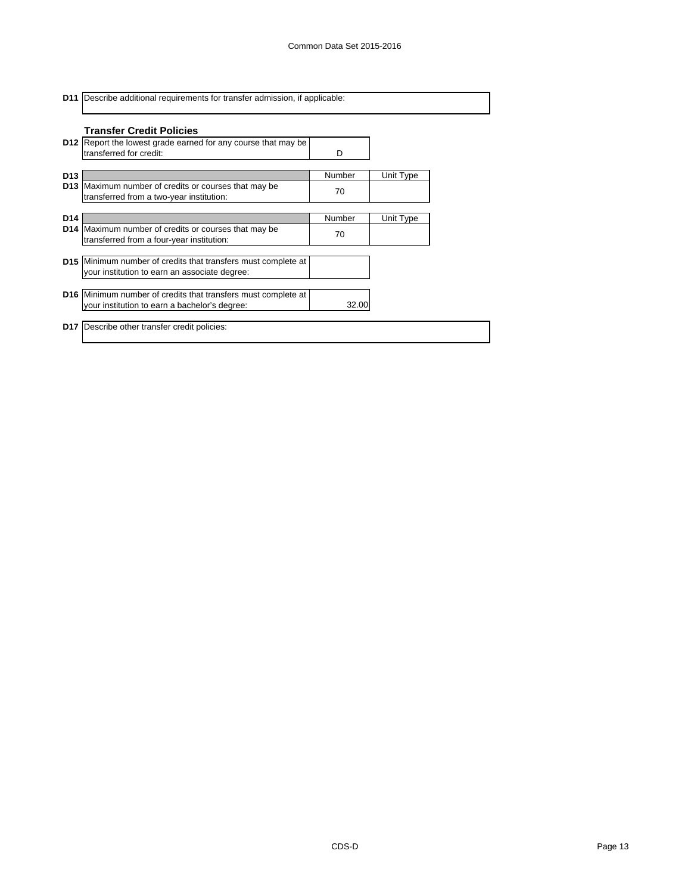| <b>D11</b> Describe additional requirements for transfer admission, if applicable: |
|------------------------------------------------------------------------------------|
|                                                                                    |

|                 | <b>Transfer Credit Policies</b>                                                                                       |        |           |
|-----------------|-----------------------------------------------------------------------------------------------------------------------|--------|-----------|
|                 | <b>D12</b> Report the lowest grade earned for any course that may be<br>transferred for credit:                       | D      |           |
| D <sub>13</sub> |                                                                                                                       | Number | Unit Type |
|                 | <b>D13</b> Maximum number of credits or courses that may be<br>transferred from a two-year institution:               | 70     |           |
| D <sub>14</sub> |                                                                                                                       | Number | Unit Type |
|                 | D14 Maximum number of credits or courses that may be<br>transferred from a four-year institution:                     | 70     |           |
|                 | D15 Minimum number of credits that transfers must complete at                                                         |        |           |
|                 | your institution to earn an associate degree:                                                                         |        |           |
|                 | <b>D16</b> Minimum number of credits that transfers must complete at<br>your institution to earn a bachelor's degree: | 32.00  |           |
|                 | <b>D17</b> Describe other transfer credit policies:                                                                   |        |           |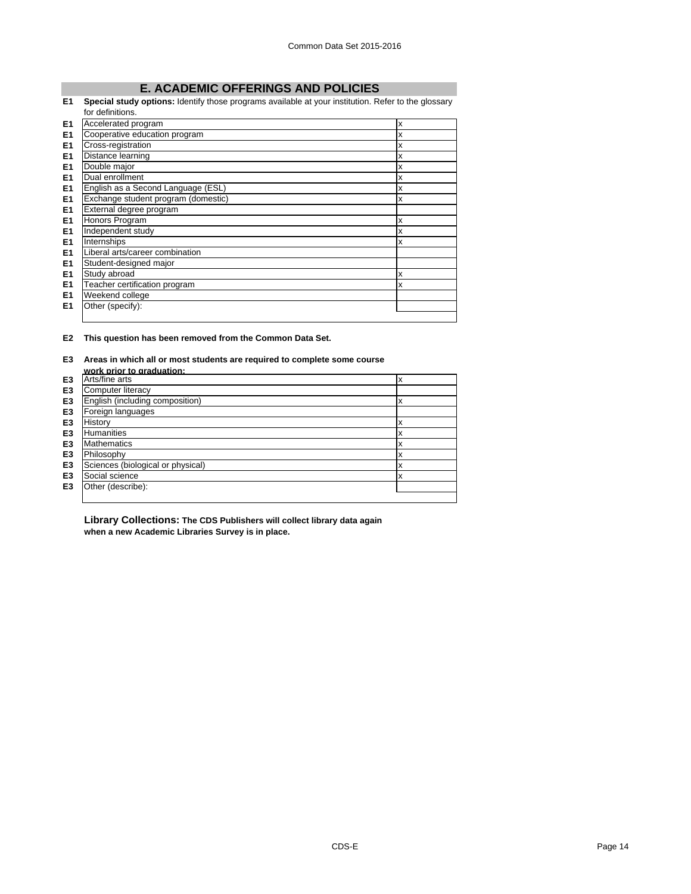# **E. ACADEMIC OFFERINGS AND POLICIES**

#### **E1 Special study options:** Identify those programs available at your institution. Refer to the glossary for definitions.

|                | TOI GENTINOUS.                      |   |
|----------------|-------------------------------------|---|
| E <sub>1</sub> | Accelerated program                 | X |
| E <sub>1</sub> | Cooperative education program       | x |
| E1             | Cross-registration                  | x |
| E <sub>1</sub> | Distance learning                   | x |
| E <sub>1</sub> | Double major                        | x |
| E1             | Dual enrollment                     | x |
| E1             | English as a Second Language (ESL)  | X |
| E <sub>1</sub> | Exchange student program (domestic) | X |
| E <sub>1</sub> | External degree program             |   |
| E <sub>1</sub> | Honors Program                      | X |
| E <sub>1</sub> | Independent study                   | x |
| E <sub>1</sub> | Internships                         | X |
| E <sub>1</sub> | Liberal arts/career combination     |   |
| E <sub>1</sub> | Student-designed major              |   |
| E <sub>1</sub> | Study abroad                        | X |
| E <sub>1</sub> | Teacher certification program       | X |
| E1             | Weekend college                     |   |
| E1             | Other (specify):                    |   |
|                |                                     |   |

**E2 This question has been removed from the Common Data Set.**

#### **E3 Areas in which all or most students are required to complete some course work prior to graduation:**

|                | work prior to draduation:         |   |
|----------------|-----------------------------------|---|
| E <sub>3</sub> | Arts/fine arts                    | ᄉ |
| E <sub>3</sub> | Computer literacy                 |   |
| E <sub>3</sub> | English (including composition)   | x |
| E <sub>3</sub> | Foreign languages                 |   |
| E <sub>3</sub> | History                           |   |
| E <sub>3</sub> | <b>Humanities</b>                 | х |
| E <sub>3</sub> | <b>Mathematics</b>                | x |
| E <sub>3</sub> | Philosophy                        |   |
| E <sub>3</sub> | Sciences (biological or physical) | х |
| E <sub>3</sub> | Social science                    | x |
| E <sub>3</sub> | Other (describe):                 |   |
|                |                                   |   |

**Library Collections: The CDS Publishers will collect library data again when a new Academic Libraries Survey is in place.**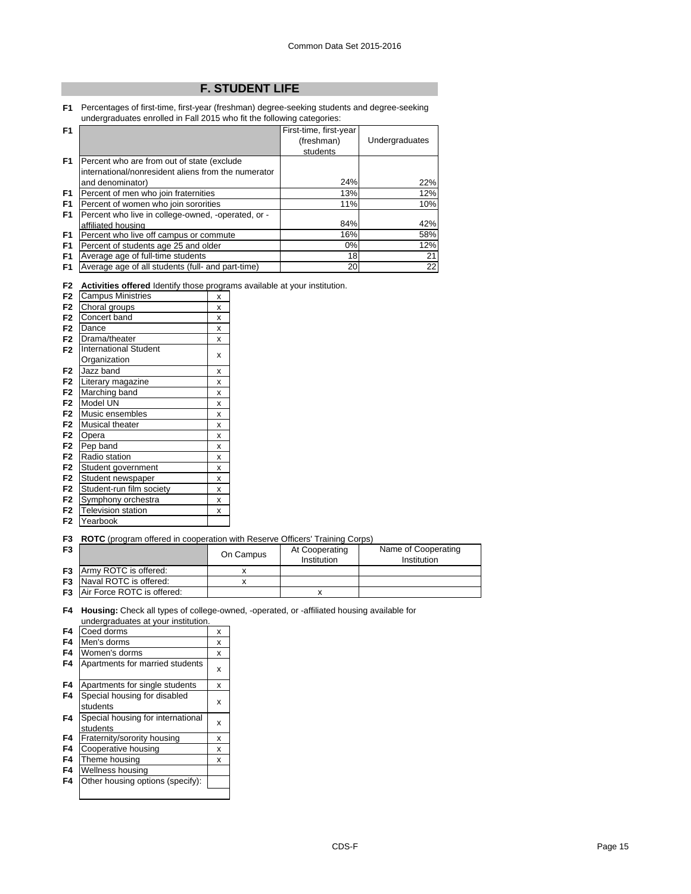# **F. STUDENT LIFE**

**F1** Percentages of first-time, first-year (freshman) degree-seeking students and degree-seeking undergraduates enrolled in Fall 2015 who fit the following categories:

| F <sub>1</sub> |                                                     | First-time, first-year |                |
|----------------|-----------------------------------------------------|------------------------|----------------|
|                |                                                     | (freshman)             | Undergraduates |
|                |                                                     | students               |                |
| F <sub>1</sub> | Percent who are from out of state (exclude          |                        |                |
|                | international/nonresident aliens from the numerator |                        |                |
|                | and denominator)                                    | 24%                    | 22%            |
| F <sub>1</sub> | Percent of men who join fraternities                | 13%                    | 12%            |
| F <sub>1</sub> | Percent of women who join sororities                | 11%                    | 10%            |
| F <sub>1</sub> | Percent who live in college-owned, -operated, or -  |                        |                |
|                | affiliated housing                                  | 84%                    | 42%            |
| F <sub>1</sub> | Percent who live off campus or commute              | 16%                    | 58%            |
| F <sub>1</sub> | Percent of students age 25 and older                | $0\%$                  | 12%            |
| F <sub>1</sub> | Average age of full-time students                   | 18                     | 21             |
| F <sub>1</sub> | Average age of all students (full- and part-time)   | 20                     | 22             |

**F2 Activities offered** Identify those programs available at your institution.

| F <sub>2</sub> | <b>Campus Ministries</b>     | x |
|----------------|------------------------------|---|
| F <sub>2</sub> | Choral groups                | X |
| F <sub>2</sub> | Concert band                 | X |
| F <sub>2</sub> | Dance                        | x |
| F <sub>2</sub> | Drama/theater                | x |
| F <sub>2</sub> | <b>International Student</b> |   |
|                | Organization                 | X |
| F <sub>2</sub> | Jazz band                    | x |
| F <sub>2</sub> | Literary magazine            | x |
| F <sub>2</sub> | Marching band                | x |
| F <sub>2</sub> | Model UN                     | x |
| F <sub>2</sub> | Music ensembles              | x |
| F <sub>2</sub> | <b>Musical theater</b>       | x |
| F <sub>2</sub> | Opera                        | X |
| F <sub>2</sub> | Pep band                     | x |
| F <sub>2</sub> | Radio station                | x |
| F <sub>2</sub> | Student government           | X |
| F <sub>2</sub> | Student newspaper            | x |
| F <sub>2</sub> | Student-run film society     | X |
| F <sub>2</sub> | Symphony orchestra           | x |
| F <sub>2</sub> | <b>Television station</b>    | x |
| F <sub>2</sub> | Yearbook                     |   |

**F3 ROTC** (program offered in cooperation with Reserve Officers' Training Corps)

| F <sub>3</sub> |                                      | On Campus | At Cooperating<br>Institution | Name of Cooperating<br>Institution |
|----------------|--------------------------------------|-----------|-------------------------------|------------------------------------|
|                | <b>F3</b> Army ROTC is offered:      |           |                               |                                    |
|                | <b>F3</b> Naval ROTC is offered:     |           |                               |                                    |
|                | <b>F3</b> Air Force ROTC is offered: |           |                               |                                    |

**F4 Housing:** Check all types of college-owned, -operated, or -affiliated housing available for undergraduates at your institution.

| F4 | Coed dorms                                    | x |
|----|-----------------------------------------------|---|
| F4 | Men's dorms                                   | x |
| F4 | Women's dorms                                 | x |
| F4 | Apartments for married students               | x |
| F4 | Apartments for single students                | x |
| F4 | Special housing for disabled<br>students      | x |
| F4 | Special housing for international<br>students | x |
| F4 | Fraternity/sorority housing                   | x |
| F4 | Cooperative housing                           | x |
| F4 | Theme housing                                 | X |
| F4 | Wellness housing                              |   |
| F4 | Other housing options (specify):              |   |
|    |                                               |   |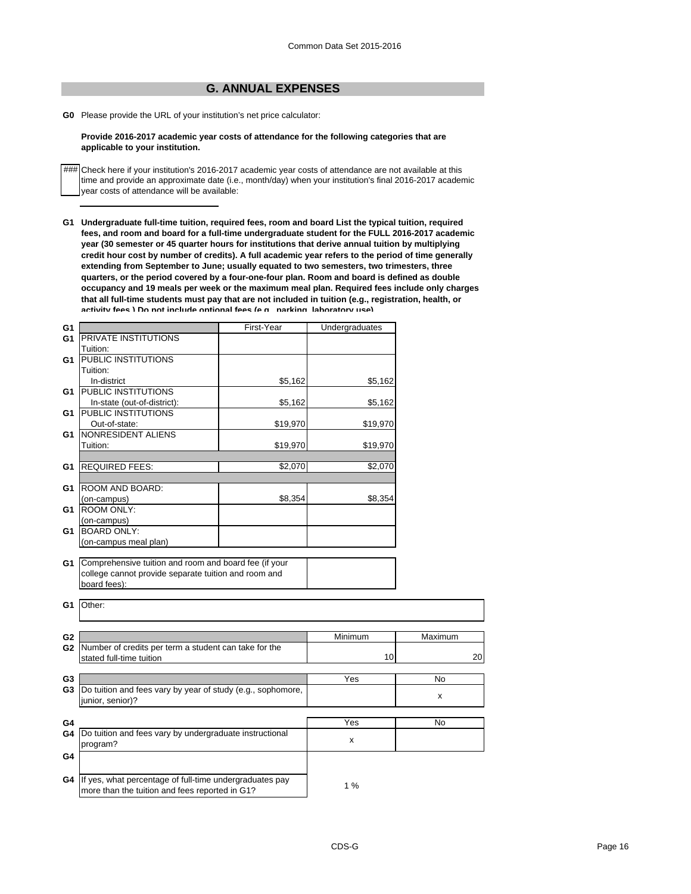# **G. ANNUAL EXPENSES**

**G0** Please provide the URL of your institution's net price calculator:

#### **Provide 2016-2017 academic year costs of attendance for the following categories that are applicable to your institution.**

### Check here if your institution's 2016-2017 academic year costs of attendance are not available at this time and provide an approximate date (i.e., month/day) when your institution's final 2016-2017 academic year costs of attendance will be available:

**G1 Undergraduate full-time tuition, required fees, room and board List the typical tuition, required fees, and room and board for a full-time undergraduate student for the FULL 2016-2017 academic year (30 semester or 45 quarter hours for institutions that derive annual tuition by multiplying credit hour cost by number of credits). A full academic year refers to the period of time generally extending from September to June; usually equated to two semesters, two trimesters, three quarters, or the period covered by a four-one-four plan. Room and board is defined as double occupancy and 19 meals per week or the maximum meal plan. Required fees include only charges that all full-time students must pay that are not included in tuition (e.g., registration, health, or activity fees ) Do not include optional fees (e g parking laboratory use)**

| G <sub>1</sub> |                                                                                                                                            | First-Year | Undergraduates |           |
|----------------|--------------------------------------------------------------------------------------------------------------------------------------------|------------|----------------|-----------|
| G <sub>1</sub> | <b>PRIVATE INSTITUTIONS</b>                                                                                                                |            |                |           |
|                | Tuition:                                                                                                                                   |            |                |           |
| G1             | <b>PUBLIC INSTITUTIONS</b>                                                                                                                 |            |                |           |
|                | Tuition:                                                                                                                                   |            |                |           |
|                | In-district                                                                                                                                | \$5,162    | \$5,162        |           |
| G1             | <b>PUBLIC INSTITUTIONS</b>                                                                                                                 |            |                |           |
|                | In-state (out-of-district):                                                                                                                | \$5,162    | \$5,162        |           |
| G1             | <b>PUBLIC INSTITUTIONS</b>                                                                                                                 |            |                |           |
|                | Out-of-state:                                                                                                                              | \$19,970   | \$19,970       |           |
| G1             | NONRESIDENT ALIENS                                                                                                                         |            |                |           |
|                | Tuition:                                                                                                                                   | \$19,970   | \$19,970       |           |
|                |                                                                                                                                            |            |                |           |
| G1             | <b>REQUIRED FEES:</b>                                                                                                                      | \$2,070    | \$2,070        |           |
|                |                                                                                                                                            |            |                |           |
| G1             | <b>ROOM AND BOARD:</b>                                                                                                                     |            |                |           |
|                | (on-campus)                                                                                                                                | \$8,354    | \$8,354        |           |
| G1             | <b>ROOM ONLY:</b>                                                                                                                          |            |                |           |
|                | (on-campus)                                                                                                                                |            |                |           |
| G1             | <b>BOARD ONLY:</b>                                                                                                                         |            |                |           |
|                | (on-campus meal plan)                                                                                                                      |            |                |           |
| G1             | G1 Comprehensive tuition and room and board fee (if your<br>college cannot provide separate tuition and room and<br>board fees):<br>Other: |            |                |           |
|                |                                                                                                                                            |            |                |           |
|                |                                                                                                                                            |            |                |           |
| G <sub>2</sub> | Number of credits per term a student can take for the                                                                                      |            | Minimum        | Maximum   |
| G <sub>2</sub> | stated full-time tuition                                                                                                                   |            | 10             | 20        |
|                |                                                                                                                                            |            |                |           |
| G <sub>3</sub> |                                                                                                                                            |            | Yes            | No        |
| G3             | Do tuition and fees vary by year of study (e.g., sophomore,                                                                                |            |                |           |
|                | junior, senior)?                                                                                                                           |            |                | x         |
|                |                                                                                                                                            |            |                |           |
| G4             |                                                                                                                                            |            | Yes            | <b>No</b> |
| G4             | Do tuition and fees vary by undergraduate instructional                                                                                    |            |                |           |
|                | program?                                                                                                                                   |            | x              |           |
| G4             |                                                                                                                                            |            |                |           |
|                |                                                                                                                                            |            |                |           |
|                |                                                                                                                                            |            |                |           |
| G4             | If yes, what percentage of full-time undergraduates pay                                                                                    |            |                |           |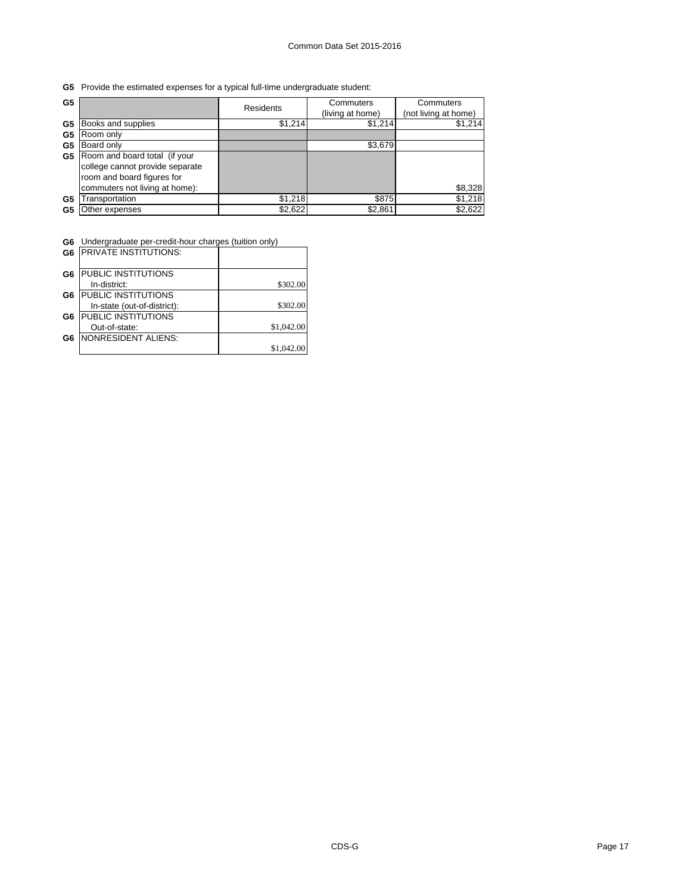**G5** Provide the estimated expenses for a typical full-time undergraduate student:

| G <sub>5</sub> |                                                                                                | Residents | Commuters<br>(living at home) | Commuters<br>(not living at home) |
|----------------|------------------------------------------------------------------------------------------------|-----------|-------------------------------|-----------------------------------|
| G5             | Books and supplies                                                                             | \$1,214   | \$1,214                       | \$1,214                           |
| G5             | Room only                                                                                      |           |                               |                                   |
| G5             | Board only                                                                                     |           | \$3,679                       |                                   |
| G5             | Room and board total (if your<br>college cannot provide separate<br>room and board figures for |           |                               |                                   |
|                | commuters not living at home):                                                                 |           |                               | \$8,328                           |
| G5             | Transportation                                                                                 | \$1.218   | \$875                         | \$1,218                           |
| G5             | Other expenses                                                                                 | \$2,622   | \$2,861                       | \$2,622                           |

**G6** Undergraduate per-credit-hour charges (tuition only)

|                | <b>G6 PRIVATE INSTITUTIONS:</b> |            |
|----------------|---------------------------------|------------|
| G <sub>6</sub> | PUBLIC INSTITUTIONS             |            |
|                | In-district:                    | \$302.00   |
| G6             | <b>PUBLIC INSTITUTIONS</b>      |            |
|                | In-state (out-of-district):     | \$302.00   |
| G6             | <b>PUBLIC INSTITUTIONS</b>      |            |
|                | Out-of-state:                   | \$1,042.00 |
| G6             | NONRESIDENT ALIENS:             |            |
|                |                                 | \$1,042.00 |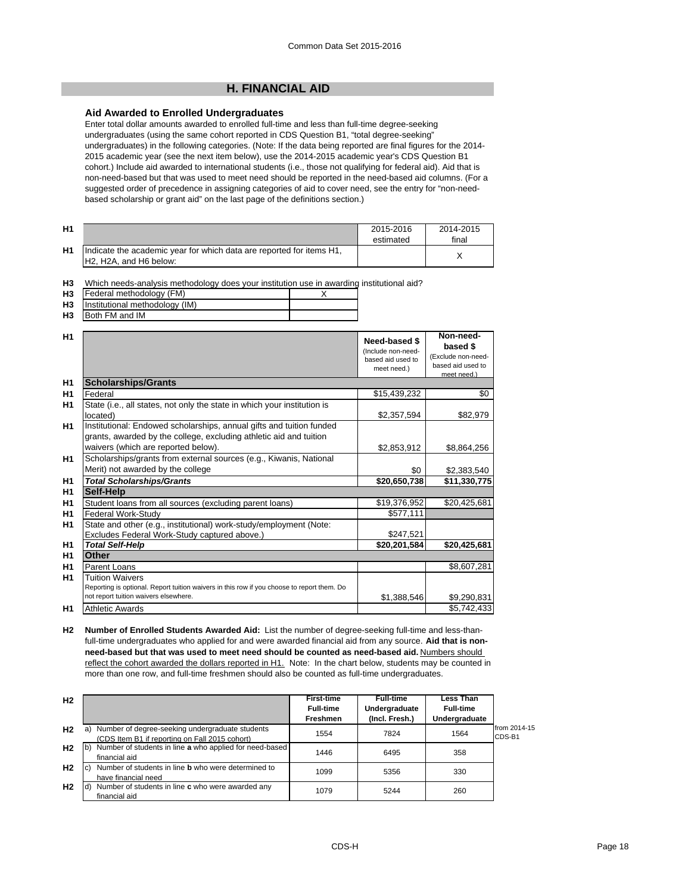# **H. FINANCIAL AID**

# **Aid Awarded to Enrolled Undergraduates**

Enter total dollar amounts awarded to enrolled full-time and less than full-time degree-seeking undergraduates (using the same cohort reported in CDS Question B1, "total degree-seeking" undergraduates) in the following categories. (Note: If the data being reported are final figures for the 2014- 2015 academic year (see the next item below), use the 2014-2015 academic year's CDS Question B1 cohort.) Include aid awarded to international students (i.e., those not qualifying for federal aid). Aid that is non-need-based but that was used to meet need should be reported in the need-based aid columns. (For a suggested order of precedence in assigning categories of aid to cover need, see the entry for "non-needbased scholarship or grant aid" on the last page of the definitions section.)

| H <sub>1</sub> |                                                                                                 | 2015-2016<br>estimated | 2014-2015<br>final |
|----------------|-------------------------------------------------------------------------------------------------|------------------------|--------------------|
| H1             | Indicate the academic year for which data are reported for items H1,<br>IH2, H2A, and H6 below: |                        |                    |

| H3 Which needs-analysis methodology does your institution use in awarding institutional aid? |  |
|----------------------------------------------------------------------------------------------|--|
|----------------------------------------------------------------------------------------------|--|

| H <sub>3</sub> | IFederal methodology (FM) |  |  |  |
|----------------|---------------------------|--|--|--|
|                |                           |  |  |  |

- **H3** Institutional methodology (IM)
- **H3** Both FM and IM

| H <sub>1</sub> |                                                                                            | Need-based \$<br>(Include non-need-<br>based aid used to<br>meet need.) | Non-need-<br>based \$<br>(Exclude non-need-<br>based aid used to<br>meet need.) |
|----------------|--------------------------------------------------------------------------------------------|-------------------------------------------------------------------------|---------------------------------------------------------------------------------|
| H1             | <b>Scholarships/Grants</b>                                                                 |                                                                         |                                                                                 |
| H1             | Federal                                                                                    | \$15,439,232                                                            | \$0                                                                             |
| H <sub>1</sub> | State (i.e., all states, not only the state in which your institution is                   |                                                                         |                                                                                 |
|                | located)                                                                                   | \$2,357,594                                                             | \$82,979                                                                        |
| H1             | Institutional: Endowed scholarships, annual gifts and tuition funded                       |                                                                         |                                                                                 |
|                | grants, awarded by the college, excluding athletic aid and tuition                         |                                                                         |                                                                                 |
|                | waivers (which are reported below).                                                        | \$2,853,912                                                             | \$8,864,256                                                                     |
| H1             | Scholarships/grants from external sources (e.g., Kiwanis, National                         |                                                                         |                                                                                 |
|                | Merit) not awarded by the college                                                          | \$0                                                                     | \$2,383,540                                                                     |
| H1             | <b>Total Scholarships/Grants</b>                                                           | \$20,650,738                                                            | \$11,330,775                                                                    |
| H1             | Self-Help                                                                                  |                                                                         |                                                                                 |
| H1             | Student loans from all sources (excluding parent loans)                                    | \$19,376,952                                                            | \$20,425,681                                                                    |
| H <sub>1</sub> | <b>Federal Work-Study</b>                                                                  | \$577,111                                                               |                                                                                 |
| H1             | State and other (e.g., institutional) work-study/employment (Note:                         |                                                                         |                                                                                 |
|                | Excludes Federal Work-Study captured above.)                                               | \$247,521                                                               |                                                                                 |
| H1             | <b>Total Self-Help</b>                                                                     | \$20,201,584                                                            | \$20,425,681                                                                    |
| H <sub>1</sub> | Other                                                                                      |                                                                         |                                                                                 |
| H <sub>1</sub> | Parent Loans                                                                               |                                                                         | \$8,607,281                                                                     |
| H <sub>1</sub> | <b>Tuition Waivers</b>                                                                     |                                                                         |                                                                                 |
|                | Reporting is optional. Report tuition waivers in this row if you choose to report them. Do |                                                                         |                                                                                 |
|                | not report tuition waivers elsewhere.                                                      | \$1,388,546                                                             | \$9,290,831                                                                     |
| H1             | <b>Athletic Awards</b>                                                                     |                                                                         | \$5,742,433                                                                     |

**H2 Number of Enrolled Students Awarded Aid:** List the number of degree-seeking full-time and less-thanfull-time undergraduates who applied for and were awarded financial aid from any source. **Aid that is nonneed-based but that was used to meet need should be counted as need-based aid.** Numbers should reflect the cohort awarded the dollars reported in H1. Note: In the chart below, students may be counted in more than one row, and full-time freshmen should also be counted as full-time undergraduates.

| H <sub>2</sub> |                                                                                                         | <b>First-time</b><br><b>Full-time</b><br><b>Freshmen</b> | <b>Full-time</b><br>Undergraduate<br>(Incl. Fresh.) | Less Than<br><b>Full-time</b><br>Undergraduate |                        |
|----------------|---------------------------------------------------------------------------------------------------------|----------------------------------------------------------|-----------------------------------------------------|------------------------------------------------|------------------------|
| H <sub>2</sub> | Number of degree-seeking undergraduate students<br>a)<br>(CDS Item B1 if reporting on Fall 2015 cohort) | 1554                                                     | 7824                                                | 1564                                           | from 2014-15<br>CDS-B1 |
| H <sub>2</sub> | b) Number of students in line a who applied for need-based<br>financial aid                             | 1446                                                     | 6495                                                | 358                                            |                        |
| H <sub>2</sub> | Number of students in line <b>b</b> who were determined to<br>lc)<br>have financial need                | 1099                                                     | 5356                                                | 330                                            |                        |
| H <sub>2</sub> | Number of students in line c who were awarded any<br>ld)<br>financial aid                               | 1079                                                     | 5244                                                | 260                                            |                        |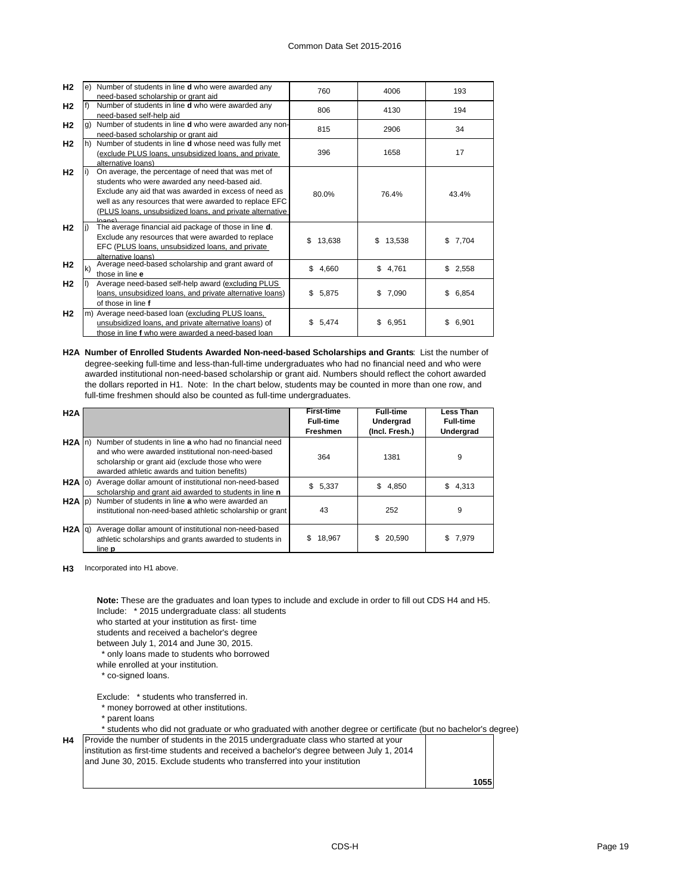| H2             |              | Number of students in line <b>d</b> who were awarded any      | 760          | 4006        | 193         |
|----------------|--------------|---------------------------------------------------------------|--------------|-------------|-------------|
|                |              | need-based scholarship or grant aid                           |              |             |             |
| H2             |              | Number of students in line <b>d</b> who were awarded any      | 806          | 4130        | 194         |
|                |              | need-based self-help aid                                      |              |             |             |
| H2             |              | Number of students in line <b>d</b> who were awarded any non- | 815          | 2906        | 34          |
|                |              | need-based scholarship or grant aid                           |              |             |             |
| H <sub>2</sub> |              | Number of students in line <b>d</b> whose need was fully met  |              |             |             |
|                |              | (exclude PLUS loans, unsubsidized loans, and private          | 396          | 1658        | 17          |
|                |              | alternative loans)                                            |              |             |             |
| H2             |              | On average, the percentage of need that was met of            |              |             |             |
|                |              | students who were awarded any need-based aid.                 |              |             |             |
|                |              | Exclude any aid that was awarded in excess of need as         | 80.0%        | 76.4%       | 43.4%       |
|                |              | well as any resources that were awarded to replace EFC        |              |             |             |
|                |              | (PLUS loans, unsubsidized loans, and private alternative      |              |             |             |
|                |              | h                                                             |              |             |             |
| H2             |              | The average financial aid package of those in line d.         |              |             |             |
|                |              | Exclude any resources that were awarded to replace            | \$<br>13,638 | \$13,538    | \$<br>7,704 |
|                |              | EFC (PLUS loans, unsubsidized loans, and private              |              |             |             |
|                |              | alternative loans)                                            |              |             |             |
| <b>H2</b>      | $\mathsf{k}$ | Average need-based scholarship and grant award of             | \$<br>4,660  | \$4,761     | \$2,558     |
|                |              | those in line e                                               |              |             |             |
| H <sub>2</sub> |              | Average need-based self-help award (excluding PLUS            |              |             |             |
|                |              | loans, unsubsidized loans, and private alternative loans)     | \$5,875      | 7,090<br>\$ | \$<br>6,854 |
|                |              | of those in line f                                            |              |             |             |
| H2             |              | m) Average need-based loan (excluding PLUS loans,             |              |             |             |
|                |              | unsubsidized loans, and private alternative loans) of         | \$<br>5,474  | \$<br>6,951 | \$<br>6,901 |
|                |              | those in line f who were awarded a need-based loan            |              |             |             |

**H2A Number of Enrolled Students Awarded Non-need-based Scholarships and Grants**: List the number of degree-seeking full-time and less-than-full-time undergraduates who had no financial need and who were awarded institutional non-need-based scholarship or grant aid. Numbers should reflect the cohort awarded the dollars reported in H1. Note: In the chart below, students may be counted in more than one row, and full-time freshmen should also be counted as full-time undergraduates.

| H2A               |                                                            | <b>First-time</b><br><b>Full-time</b> | <b>Full-time</b><br>Undergrad | <b>Less Than</b><br><b>Full-time</b> |
|-------------------|------------------------------------------------------------|---------------------------------------|-------------------------------|--------------------------------------|
|                   |                                                            | Freshmen                              | (Incl. Fresh.)                | Undergrad                            |
| $H2A \ln b$       | Number of students in line a who had no financial need     |                                       |                               |                                      |
|                   | and who were awarded institutional non-need-based          | 364                                   | 1381                          | 9                                    |
|                   | scholarship or grant aid (exclude those who were           |                                       |                               |                                      |
|                   | awarded athletic awards and tuition benefits)              |                                       |                               |                                      |
| $H2A$ (o)         | Average dollar amount of institutional non-need-based      | \$5.337                               | \$.<br>4,850                  | \$4.313                              |
|                   | scholarship and grant aid awarded to students in line n    |                                       |                               |                                      |
| $H2A$ $ p\rangle$ | Number of students in line a who were awarded an           |                                       |                               |                                      |
|                   | institutional non-need-based athletic scholarship or grant | 43                                    | 252                           | 9                                    |
|                   |                                                            |                                       |                               |                                      |
| $H2A$ $q$ )       | Average dollar amount of institutional non-need-based      |                                       |                               |                                      |
|                   | athletic scholarships and grants awarded to students in    | 18.967<br>S.                          | 20.590<br>S.                  | 7,979<br>\$.                         |
|                   | line <b>p</b>                                              |                                       |                               |                                      |

**H3** Incorporated into H1 above.

Include: \* 2015 undergraduate class: all students who started at your institution as first- time students and received a bachelor's degree between July 1, 2014 and June 30, 2015. \* only loans made to students who borrowed while enrolled at your institution. \* co-signed loans. Exclude: \* students who transferred in. \* money borrowed at other institutions. **Note:** These are the graduates and loan types to include and exclude in order to fill out CDS H4 and H5.

\* parent loans

**H4**

\* students who did not graduate or who graduated with another degree or certificate (but no bachelor's degree)

| and June 30, 2015. Exclude students who transferred into your institution | <b>H4</b> Provide the number of students in the 2015 undergraduate class who started at your<br>linstitution as first-time students and received a bachelor's degree between July 1, 2014 |      |
|---------------------------------------------------------------------------|-------------------------------------------------------------------------------------------------------------------------------------------------------------------------------------------|------|
|                                                                           |                                                                                                                                                                                           | 1055 |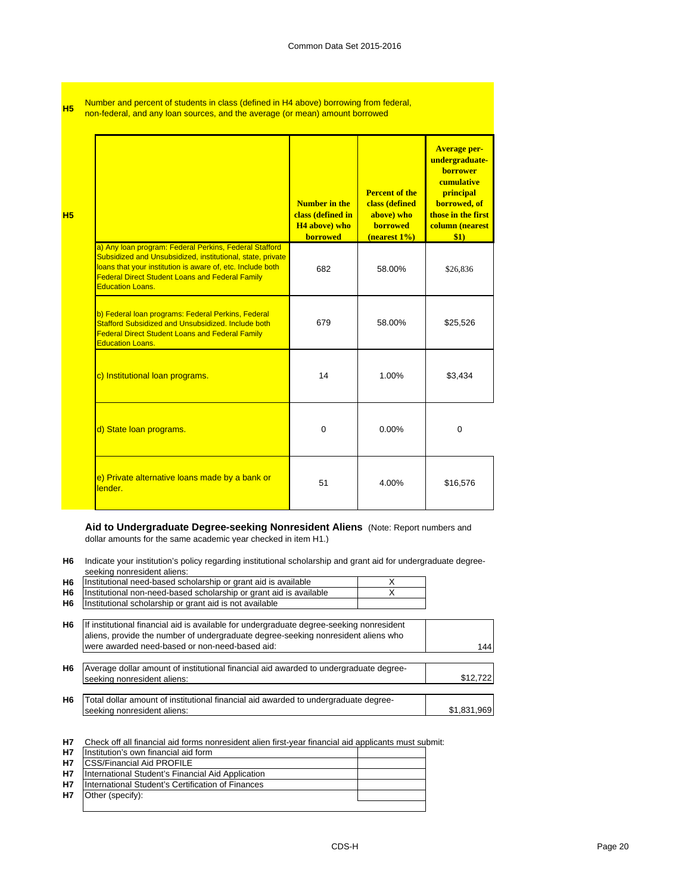**H5**

Number and percent of students in class (defined in H4 above) borrowing from federal, non-federal, and any loan sources, and the average (or mean) amount borrowed

| H <sub>5</sub> |                                                                                                                                                                                                                                                                         | <b>Number in the</b><br>class (defined in<br><b>H4</b> above) who<br><b>borrowed</b> | <b>Percent of the</b><br>class (defined<br>above) who<br><b>borrowed</b><br>(nearest 1%) | <b>Average per-</b><br>undergraduate-<br><b>borrower</b><br>cumulative<br>principal<br>borrowed, of<br>those in the first<br>column (nearest<br>\$1) |
|----------------|-------------------------------------------------------------------------------------------------------------------------------------------------------------------------------------------------------------------------------------------------------------------------|--------------------------------------------------------------------------------------|------------------------------------------------------------------------------------------|------------------------------------------------------------------------------------------------------------------------------------------------------|
|                | a) Any loan program: Federal Perkins, Federal Stafford<br>Subsidized and Unsubsidized, institutional, state, private<br>loans that your institution is aware of, etc. Include both<br><b>Federal Direct Student Loans and Federal Family</b><br><b>Education Loans.</b> | 682                                                                                  | 58.00%                                                                                   | \$26,836                                                                                                                                             |
|                | b) Federal Ioan programs: Federal Perkins, Federal<br>Stafford Subsidized and Unsubsidized, Include both<br><b>Federal Direct Student Loans and Federal Family</b><br><b>Education Loans.</b>                                                                           | 679                                                                                  | 58.00%                                                                                   | \$25,526                                                                                                                                             |
|                | c) Institutional loan programs.                                                                                                                                                                                                                                         | 14                                                                                   | 1.00%                                                                                    | \$3,434                                                                                                                                              |
|                | d) State loan programs.                                                                                                                                                                                                                                                 | $\Omega$                                                                             | $0.00\%$                                                                                 | $\Omega$                                                                                                                                             |
|                | e) Private alternative loans made by a bank or<br>lender.                                                                                                                                                                                                               | 51                                                                                   | 4.00%                                                                                    | \$16,576                                                                                                                                             |

**Aid to Undergraduate Degree-seeking Nonresident Aliens** (Note: Report numbers and dollar amounts for the same academic year checked in item H1.)

**H6** Indicate your institution's policy regarding institutional scholarship and grant aid for undergraduate degreeseeking nonresident aliens:

| H <sub>6</sub> | Institutional need-based scholarship or grant aid is available                                                                                                                                                                  | X |             |
|----------------|---------------------------------------------------------------------------------------------------------------------------------------------------------------------------------------------------------------------------------|---|-------------|
| H <sub>6</sub> | Institutional non-need-based scholarship or grant aid is available                                                                                                                                                              |   |             |
| H <sub>6</sub> | Institutional scholarship or grant aid is not available                                                                                                                                                                         |   |             |
| H <sub>6</sub> | If institutional financial aid is available for undergraduate degree-seeking nonresident<br>aliens, provide the number of undergraduate degree-seeking nonresident aliens who<br>were awarded need-based or non-need-based aid: |   | 144         |
| H <sub>6</sub> | Average dollar amount of institutional financial aid awarded to undergraduate degree-<br>seeking nonresident aliens:                                                                                                            |   | \$12,722    |
| H <sub>6</sub> | Total dollar amount of institutional financial aid awarded to undergraduate degree-<br>seeking nonresident aliens:                                                                                                              |   | \$1,831,969 |

**H7** Check off all financial aid forms nonresident alien first-year financial aid applicants must submit:

| <b>H7</b> | Institution's own financial aid form              |  |
|-----------|---------------------------------------------------|--|
| <b>H7</b> | <b>CSS/Financial Aid PROFILE</b>                  |  |
| <b>H7</b> | International Student's Financial Aid Application |  |
| <b>H7</b> | International Student's Certification of Finances |  |
| H7        | Other (specify):                                  |  |
|           |                                                   |  |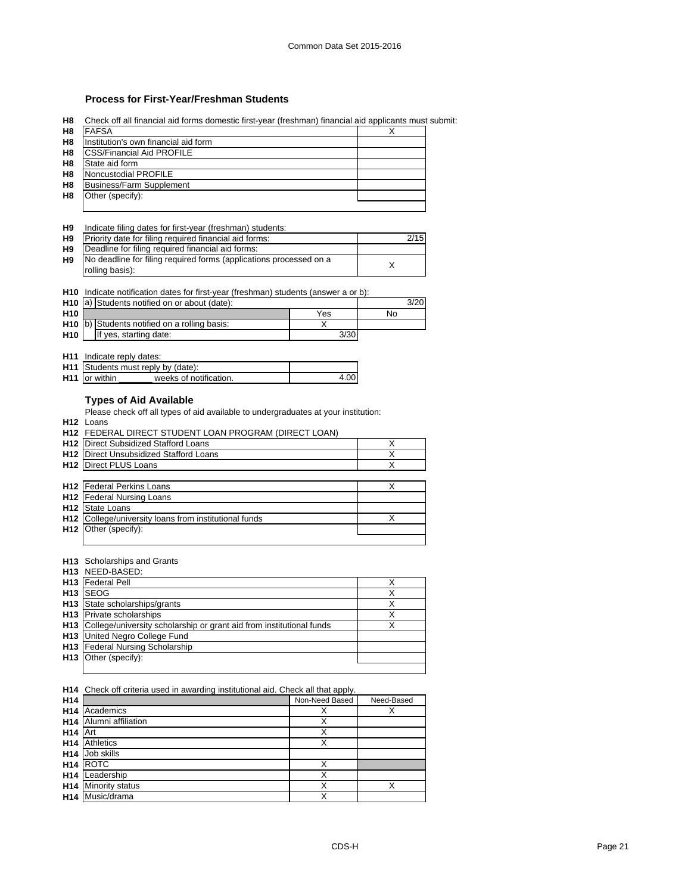# **Process for First-Year/Freshman Students**

**H8** Check off all financial aid forms domestic first-year (freshman) financial aid applicants must submit:

| H <sub>8</sub> | <b>FAFSA</b>                         | X |
|----------------|--------------------------------------|---|
| H <sub>8</sub> | Institution's own financial aid form |   |
| H <sub>8</sub> | <b>ICSS/Financial Aid PROFILE</b>    |   |
| H <sub>8</sub> | State aid form                       |   |
| H <sub>8</sub> | Noncustodial PROFILE                 |   |
| H <sub>8</sub> | <b>Business/Farm Supplement</b>      |   |
| H8             | Other (specify):                     |   |
|                |                                      |   |

#### **H9** Indicate filing dates for first-year (freshman) students:

| H <sub>9</sub> | Priority date for filing required financial aid forms:             | 2/15 |
|----------------|--------------------------------------------------------------------|------|
| H9             | Deadline for filing required financial aid forms:                  |      |
| H9             | No deadline for filing required forms (applications processed on a |      |
|                | rolling basis):                                                    |      |

|  | <b>H10</b> Indicate notification dates for first-year (freshman) students (answer a or b): |  |  |  |  |  |
|--|--------------------------------------------------------------------------------------------|--|--|--|--|--|
|--|--------------------------------------------------------------------------------------------|--|--|--|--|--|

|                 | H <sub>10</sub> a) Students notified on or about (date): |      | 3/20 |
|-----------------|----------------------------------------------------------|------|------|
| H <sub>10</sub> |                                                          | Yes  | No   |
|                 | H <sub>10</sub> b) Students notified on a rolling basis: |      |      |
| H <sub>10</sub> | If yes, starting date:                                   | 3/30 |      |

#### **H11** Indicate reply dates:

|                           | <b>H11</b> Students must reply by (date): |      |
|---------------------------|-------------------------------------------|------|
| H <sub>11</sub> or within | weeks of notification.                    | 4.00 |

# **Types of Aid Available**

Please check off all types of aid available to undergraduates at your institution:

**H12** Loans

**H12**

**H12** FEDERAL DIRECT STUDENT LOAN PROGRAM (DIRECT LOAN)

| <b>H12</b> Direct Subsidized Stafford Loans                  |  |
|--------------------------------------------------------------|--|
| <b>H12</b> Direct Unsubsidized Stafford Loans                |  |
| <b>H12</b> Direct PLUS Loans                                 |  |
|                                                              |  |
| <b>H12</b> Federal Perkins Loans                             |  |
| <b>H12</b> Federal Nursing Loans                             |  |
| <b>H12</b> State Loans                                       |  |
| <b>H12</b> College/university loans from institutional funds |  |

#### **H13** Scholarships and Grants

Other (specify):

| H <sub>13</sub> NEED-BASED:                                                     |  |
|---------------------------------------------------------------------------------|--|
| H <sub>13</sub>   Federal Pell                                                  |  |
| H <sub>13</sub> SEOG                                                            |  |
| <b>H13</b> State scholarships/grants                                            |  |
| <b>H13</b> Private scholarships                                                 |  |
| <b>H13</b> College/university scholarship or grant aid from institutional funds |  |
| <b>H13</b> United Negro College Fund                                            |  |
| H13 Federal Nursing Scholarship                                                 |  |
| H <sub>13</sub> Other (specify):                                                |  |
|                                                                                 |  |

**H14** Check off criteria used in awarding institutional aid. Check all that apply.

| H <sub>14</sub> |                        | Non-Need Based | Need-Based |
|-----------------|------------------------|----------------|------------|
| H <sub>14</sub> | Academics              | х              | ∧          |
| H <sub>14</sub> | Alumni affiliation     | Χ              |            |
| H <sub>14</sub> | <b>IArt</b>            | x              |            |
| H <sub>14</sub> | <b>Athletics</b>       | X              |            |
| H14             | Job skills             |                |            |
|                 | H <sub>14</sub> ROTC   | x              |            |
| H <sub>14</sub> | Leadership             | x              |            |
| H14             | <b>Minority status</b> | X              | X          |
|                 | H14 Music/drama        | X              |            |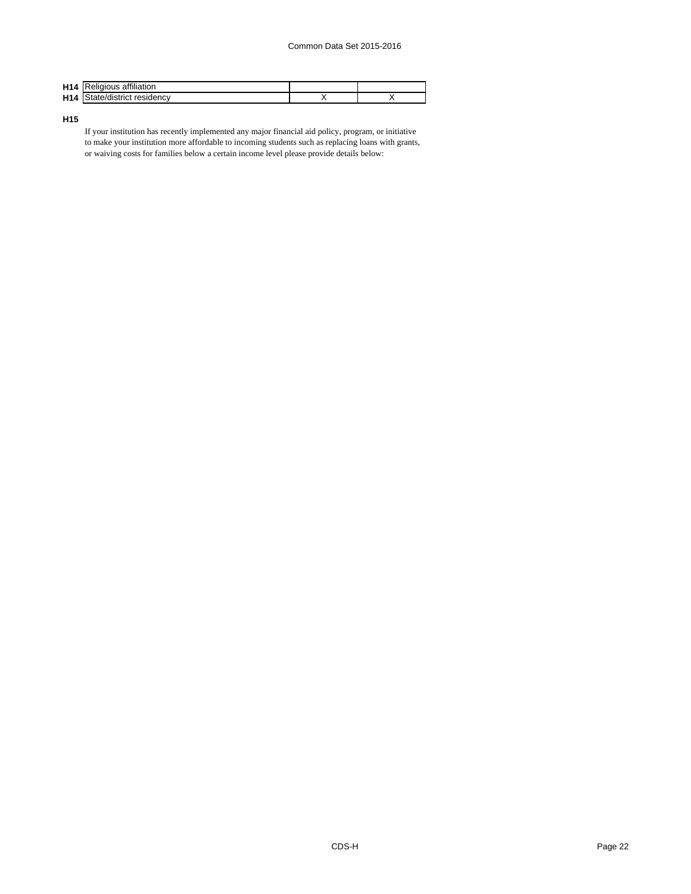| H14             | <b>IReligious affiliation</b> |  |
|-----------------|-------------------------------|--|
| H <sub>14</sub> | State/district<br>: residencv |  |

**H15**

If your institution has recently implemented any major financial aid policy, program, or initiative to make your institution more affordable to incoming students such as replacing loans with grants, or waiving costs for families below a certain income level please provide details below: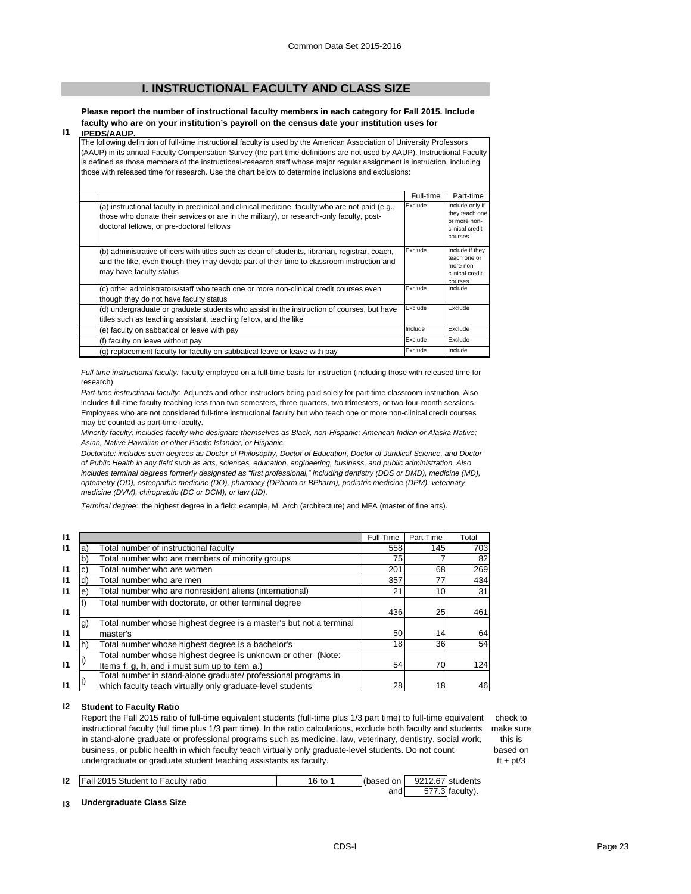# **I. INSTRUCTIONAL FACULTY AND CLASS SIZE**

**Please report the number of instructional faculty members in each category for Fall 2015. Include faculty who are on your institution's payroll on the census date your institution uses for** 

#### **I1 IPEDS/AAUP.**

The following definition of full-time instructional faculty is used by the American Association of University Professors (AAUP) in its annual Faculty Compensation Survey (the part time definitions are not used by AAUP). Instructional Faculty is defined as those members of the instructional-research staff whose major regular assignment is instruction, including those with released time for research. Use the chart below to determine inclusions and exclusions:

|                                                                                                                                                                                                                                          | Full-time | Part-time                                                                              |
|------------------------------------------------------------------------------------------------------------------------------------------------------------------------------------------------------------------------------------------|-----------|----------------------------------------------------------------------------------------|
| (a) instructional faculty in preclinical and clinical medicine, faculty who are not paid (e.g.,<br>those who donate their services or are in the military), or research-only faculty, post-<br>doctoral fellows, or pre-doctoral fellows | Exclude   | Include only if<br>they teach one<br>or more non-<br>clinical credit<br><b>COULSES</b> |
| (b) administrative officers with titles such as dean of students, librarian, registrar, coach,<br>and the like, even though they may devote part of their time to classroom instruction and<br>may have faculty status                   | Exclude   | Include if they<br>teach one or<br>more non-<br>clinical credit<br>courses             |
| (c) other administrators/staff who teach one or more non-clinical credit courses even<br>though they do not have faculty status                                                                                                          | Exclude   | Include                                                                                |
| (d) undergraduate or graduate students who assist in the instruction of courses, but have<br>titles such as teaching assistant, teaching fellow, and the like                                                                            | Exclude   | Exclude                                                                                |
| (e) faculty on sabbatical or leave with pay                                                                                                                                                                                              | Include   | Exclude                                                                                |
| (f) faculty on leave without pay                                                                                                                                                                                                         | Exclude   | Exclude                                                                                |
| (g) replacement faculty for faculty on sabbatical leave or leave with pay                                                                                                                                                                | Exclude   | Include                                                                                |

*Full-time instructional faculty:* faculty employed on a full-time basis for instruction (including those with released time for research)

*Part-time instructional faculty:* Adjuncts and other instructors being paid solely for part-time classroom instruction. Also includes full-time faculty teaching less than two semesters, three quarters, two trimesters, or two four-month sessions. Employees who are not considered full-time instructional faculty but who teach one or more non-clinical credit courses may be counted as part-time faculty.

*Minority faculty: includes faculty who designate themselves as Black, non-Hispanic; American Indian or Alaska Native; Asian, Native Hawaiian or other Pacific Islander, or Hispanic.* 

*Doctorate: includes such degrees as Doctor of Philosophy, Doctor of Education, Doctor of Juridical Science, and Doctor of Public Health in any field such as arts, sciences, education, engineering, business, and public administration. Also*  includes terminal degrees formerly designated as "first professional," including dentistry (DDS or DMD), medicine (MD), *optometry (OD), osteopathic medicine (DO), pharmacy (DPharm or BPharm), podiatric medicine (DPM), veterinary medicine (DVM), chiropractic (DC or DCM), or law (JD).*

*Terminal degree:* the highest degree in a field: example, M. Arch (architecture) and MFA (master of fine arts).

| $\mathsf{I}$ |            |                                                                    | Full-Time | Part-Time | Total |
|--------------|------------|--------------------------------------------------------------------|-----------|-----------|-------|
| $\mathsf{I}$ | a)         | Total number of instructional faculty                              | 558       | 145       | 703   |
|              |            | Total number who are members of minority groups                    | 75        |           | 82    |
| $\mathsf{I}$ |            | Total number who are women                                         | 201       | 68        | 269   |
| $\mathsf{I}$ | ď          | Total number who are men                                           | 357       | 77        | 434   |
| $\mathbf{I}$ | $\epsilon$ | Total number who are nonresident aliens (international)            | 21        | 10        | 31    |
|              |            | Total number with doctorate, or other terminal degree              |           |           |       |
| $\mathbf{I}$ |            |                                                                    | 436       | 25        | 461   |
|              | g)         | Total number whose highest degree is a master's but not a terminal |           |           |       |
| $\mathbf{I}$ |            | master's                                                           | 50        | 14        | 64    |
| $\mathsf{I}$ |            | Total number whose highest degree is a bachelor's                  | 18        | 36        | 54    |
|              |            | Total number whose highest degree is unknown or other (Note:       |           |           |       |
| $\mathsf{I}$ |            | Items f, g, h, and i must sum up to item a.)                       | 54        | 70        | 124   |
|              |            | Total number in stand-alone graduate/ professional programs in     |           |           |       |
| 11           |            | which faculty teach virtually only graduate-level students         | 28        | 18        | 46    |

#### **I2 Student to Faculty Ratio**

**I3**

Report the Fall 2015 ratio of full-time equivalent students (full-time plus 1/3 part time) to full-time equivalent check to instructional faculty (full time plus 1/3 part time). In the ratio calculations, exclude both faculty and students make sure in stand-alone graduate or professional programs such as medicine, law, veterinary, dentistry, social work, business, or public health in which faculty teach virtually only graduate-level students. Do not count undergraduate or graduate student teaching assistants as faculty.

this is

based on  $ft + pt/3$ 

| 12            | Fall 2015 Student to Faculty ratio | 16 to 1 | (based on 9212.67 students |                 |
|---------------|------------------------------------|---------|----------------------------|-----------------|
|               |                                    |         | and                        | 577.3 faculty). |
| $\mathbf{13}$ | Undergraduate Class Size           |         |                            |                 |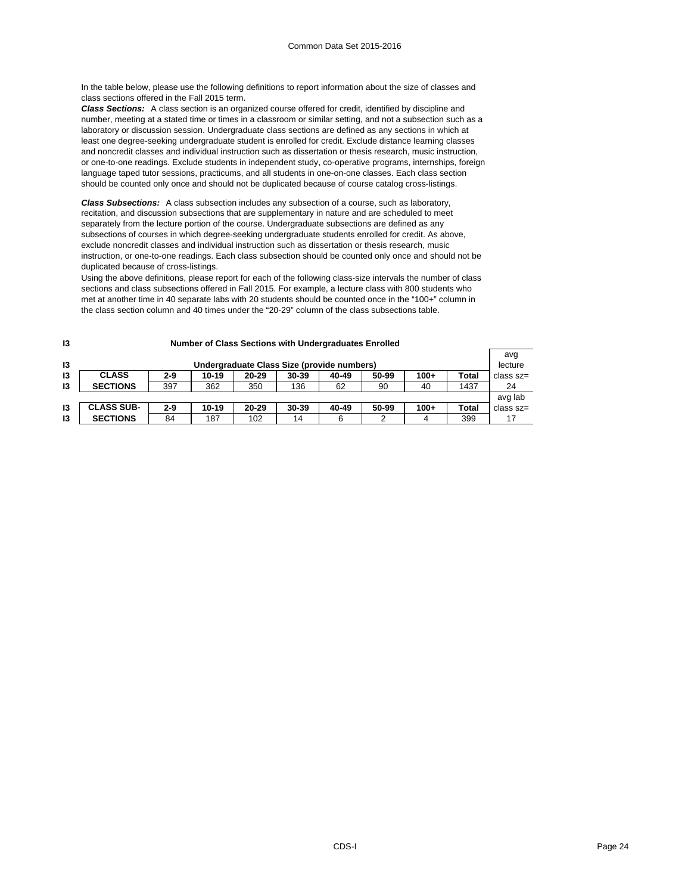In the table below, please use the following definitions to report information about the size of classes and class sections offered in the Fall 2015 term.

*Class Sections:* A class section is an organized course offered for credit, identified by discipline and number, meeting at a stated time or times in a classroom or similar setting, and not a subsection such as a laboratory or discussion session. Undergraduate class sections are defined as any sections in which at least one degree-seeking undergraduate student is enrolled for credit. Exclude distance learning classes and noncredit classes and individual instruction such as dissertation or thesis research, music instruction, or one-to-one readings. Exclude students in independent study, co-operative programs, internships, foreign language taped tutor sessions, practicums, and all students in one-on-one classes. Each class section should be counted only once and should not be duplicated because of course catalog cross-listings.

*Class Subsections:* A class subsection includes any subsection of a course, such as laboratory, recitation, and discussion subsections that are supplementary in nature and are scheduled to meet separately from the lecture portion of the course. Undergraduate subsections are defined as any subsections of courses in which degree-seeking undergraduate students enrolled for credit. As above, exclude noncredit classes and individual instruction such as dissertation or thesis research, music instruction, or one-to-one readings. Each class subsection should be counted only once and should not be duplicated because of cross-listings.

Using the above definitions, please report for each of the following class-size intervals the number of class sections and class subsections offered in Fall 2015. For example, a lecture class with 800 students who met at another time in 40 separate labs with 20 students should be counted once in the "100+" column in the class section column and 40 times under the "20-29" column of the class subsections table.

| 13 | Number of Class Sections with Undergraduates Enrolled |         |       |           |       |       |       |        |              |               |
|----|-------------------------------------------------------|---------|-------|-----------|-------|-------|-------|--------|--------------|---------------|
|    |                                                       |         |       |           |       |       |       |        |              | avg           |
| 13 | Undergraduate Class Size (provide numbers)            |         |       |           |       |       |       |        | lecture      |               |
| 13 | <b>CLASS</b>                                          | $2 - 9$ | 10-19 | $20 - 29$ | 30-39 | 40-49 | 50-99 | $100+$ | <b>Total</b> | $class$ $sz=$ |
| 13 | <b>SECTIONS</b>                                       | 397     | 362   | 350       | 136   | 62    | 90    | 40     | 1437         | 24            |
|    |                                                       |         |       |           |       |       |       |        |              | avg lab       |
| 13 | <b>CLASS SUB-</b>                                     | $2 - 9$ | 10-19 | $20 - 29$ | 30-39 | 40-49 | 50-99 | $100+$ | <b>Total</b> | class sz=     |
| 13 | <b>SECTIONS</b>                                       | 84      | 187   | 102       | 14    | 6     |       | 4      | 399          | 17            |

#### **Number of Class Sections with Undergraduates Enrolled**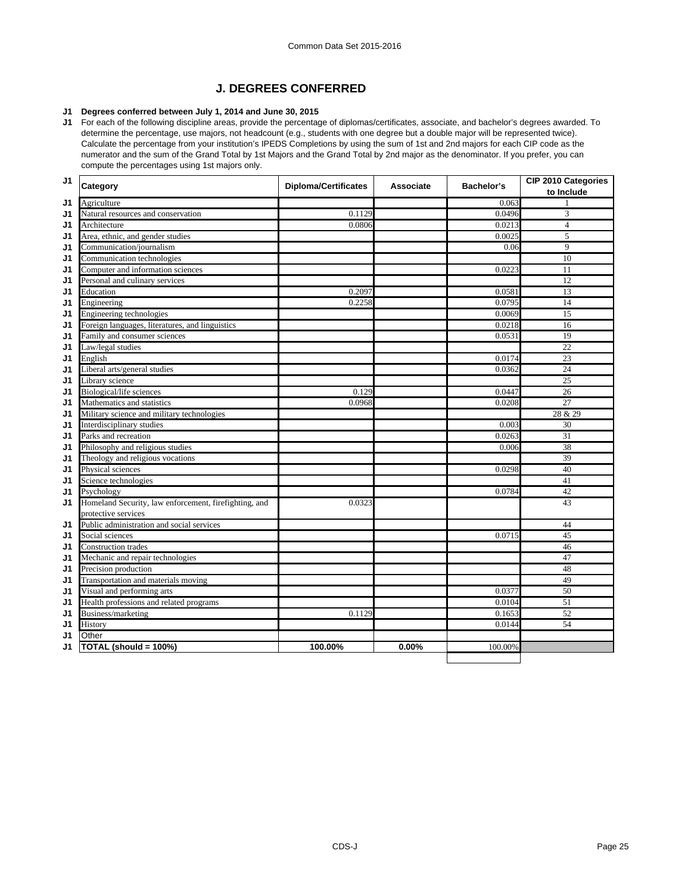# **J. DEGREES CONFERRED**

# **J1 Degrees conferred between July 1, 2014 and June 30, 2015**

**J1** For each of the following discipline areas, provide the percentage of diplomas/certificates, associate, and bachelor's degrees awarded. To determine the percentage, use majors, not headcount (e.g., students with one degree but a double major will be represented twice). Calculate the percentage from your institution's IPEDS Completions by using the sum of 1st and 2nd majors for each CIP code as the numerator and the sum of the Grand Total by 1st Majors and the Grand Total by 2nd major as the denominator. If you prefer, you can compute the percentages using 1st majors only.

| J1 | Category                                              | <b>Diploma/Certificates</b> | Associate | <b>Bachelor's</b> | CIP 2010 Categories<br>to Include |
|----|-------------------------------------------------------|-----------------------------|-----------|-------------------|-----------------------------------|
| J1 | Agriculture                                           |                             |           | 0.063             |                                   |
| J1 | Natural resources and conservation                    | 0.1129                      |           | 0.0496            | 3                                 |
| J1 | Architecture                                          | 0.0806                      |           | 0.0213            | $\overline{4}$                    |
| J1 | Area, ethnic, and gender studies                      |                             |           | 0.0025            | 5                                 |
| J1 | Communication/journalism                              |                             |           | 0.06              | 9                                 |
| J1 | Communication technologies                            |                             |           |                   | 10                                |
| J1 | Computer and information sciences                     |                             |           | 0.0223            | 11                                |
| J1 | Personal and culinary services                        |                             |           |                   | 12                                |
| J1 | Education                                             | 0.2097                      |           | 0.0581            | 13                                |
| J1 | Engineering                                           | 0.2258                      |           | 0.0795            | 14                                |
| J1 | Engineering technologies                              |                             |           | 0.0069            | 15                                |
| J1 | Foreign languages, literatures, and linguistics       |                             |           | 0.0218            | 16                                |
| J1 | Family and consumer sciences                          |                             |           | 0.0531            | 19                                |
| J1 | Law/legal studies                                     |                             |           |                   | $\overline{22}$                   |
| J1 | English                                               |                             |           | 0.0174            | 23                                |
| J1 | Liberal arts/general studies                          |                             |           | 0.0362            | 24                                |
| J1 | Library science                                       |                             |           |                   | $\overline{25}$                   |
| J1 | Biological/life sciences                              | 0.129                       |           | 0.0447            | 26                                |
| J1 | Mathematics and statistics                            | 0.0968                      |           | 0.0208            | $\overline{27}$                   |
| J1 | Military science and military technologies            |                             |           |                   | 28 & 29                           |
| J1 | Interdisciplinary studies                             |                             |           | 0.003             | 30                                |
| J1 | Parks and recreation                                  |                             |           | 0.0263            | 31                                |
| J1 | Philosophy and religious studies                      |                             |           | 0.006             | 38                                |
| J1 | Theology and religious vocations                      |                             |           |                   | 39                                |
| J1 | Physical sciences                                     |                             |           | 0.0298            | 40                                |
| J1 | Science technologies                                  |                             |           |                   | 41                                |
| J1 | Psychology                                            |                             |           | 0.0784            | 42                                |
| J1 | Homeland Security, law enforcement, firefighting, and | 0.0323                      |           |                   | 43                                |
|    | protective services                                   |                             |           |                   |                                   |
| J1 | Public administration and social services             |                             |           |                   | 44                                |
| J1 | Social sciences                                       |                             |           | 0.0715            | 45                                |
| J1 | Construction trades                                   |                             |           |                   | 46                                |
| J1 | Mechanic and repair technologies                      |                             |           |                   | 47                                |
| J1 | Precision production                                  |                             |           |                   | 48                                |
| J1 | Transportation and materials moving                   |                             |           |                   | 49                                |
| J1 | Visual and performing arts                            |                             |           | 0.0377            | 50                                |
| J1 | Health professions and related programs               |                             |           | 0.0104            | 51                                |
| J1 | Business/marketing                                    | 0.1129                      |           | 0.1653            | 52                                |
| J1 | History                                               |                             |           | 0.0144            | 54                                |
| J1 | Other                                                 |                             |           |                   |                                   |
| J1 | TOTAL (should = 100%)                                 | 100.00%                     | 0.00%     | 100.00%           |                                   |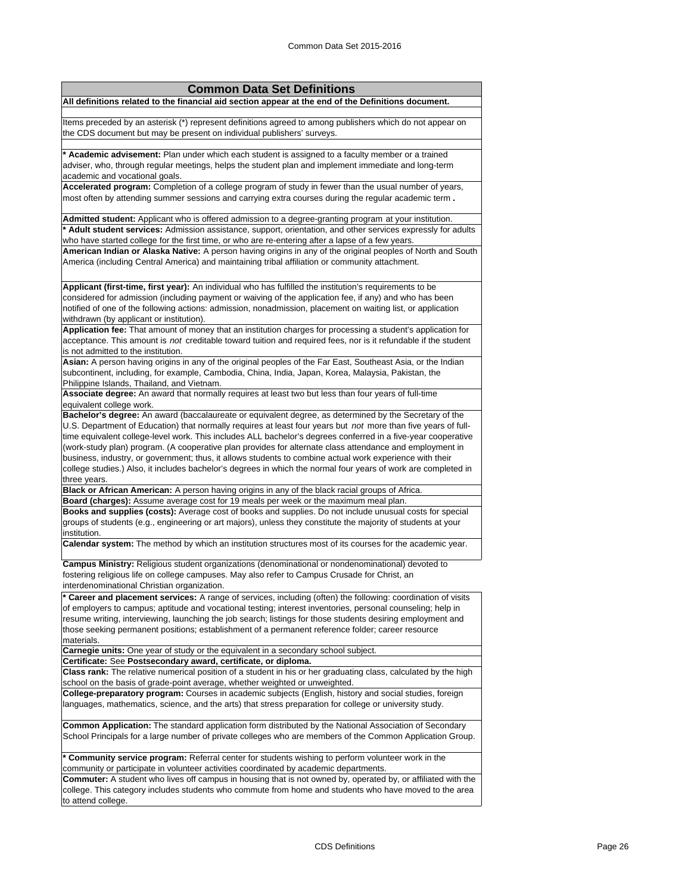| <b>Common Data Set Definitions</b>                                                                                                                                                                                                                                                                                                                                                                                                                                                                                                                                                                                                                                                  |
|-------------------------------------------------------------------------------------------------------------------------------------------------------------------------------------------------------------------------------------------------------------------------------------------------------------------------------------------------------------------------------------------------------------------------------------------------------------------------------------------------------------------------------------------------------------------------------------------------------------------------------------------------------------------------------------|
| All definitions related to the financial aid section appear at the end of the Definitions document.                                                                                                                                                                                                                                                                                                                                                                                                                                                                                                                                                                                 |
|                                                                                                                                                                                                                                                                                                                                                                                                                                                                                                                                                                                                                                                                                     |
| Items preceded by an asterisk (*) represent definitions agreed to among publishers which do not appear on<br>the CDS document but may be present on individual publishers' surveys.                                                                                                                                                                                                                                                                                                                                                                                                                                                                                                 |
| * Academic advisement: Plan under which each student is assigned to a faculty member or a trained                                                                                                                                                                                                                                                                                                                                                                                                                                                                                                                                                                                   |
| adviser, who, through regular meetings, helps the student plan and implement immediate and long-term                                                                                                                                                                                                                                                                                                                                                                                                                                                                                                                                                                                |
| academic and vocational goals.                                                                                                                                                                                                                                                                                                                                                                                                                                                                                                                                                                                                                                                      |
| Accelerated program: Completion of a college program of study in fewer than the usual number of years,                                                                                                                                                                                                                                                                                                                                                                                                                                                                                                                                                                              |
| most often by attending summer sessions and carrying extra courses during the regular academic term.                                                                                                                                                                                                                                                                                                                                                                                                                                                                                                                                                                                |
| Admitted student: Applicant who is offered admission to a degree-granting program at your institution.                                                                                                                                                                                                                                                                                                                                                                                                                                                                                                                                                                              |
| * Adult student services: Admission assistance, support, orientation, and other services expressly for adults                                                                                                                                                                                                                                                                                                                                                                                                                                                                                                                                                                       |
| who have started college for the first time, or who are re-entering after a lapse of a few years.                                                                                                                                                                                                                                                                                                                                                                                                                                                                                                                                                                                   |
| American Indian or Alaska Native: A person having origins in any of the original peoples of North and South<br>America (including Central America) and maintaining tribal affiliation or community attachment.                                                                                                                                                                                                                                                                                                                                                                                                                                                                      |
| Applicant (first-time, first year): An individual who has fulfilled the institution's requirements to be                                                                                                                                                                                                                                                                                                                                                                                                                                                                                                                                                                            |
| considered for admission (including payment or waiving of the application fee, if any) and who has been                                                                                                                                                                                                                                                                                                                                                                                                                                                                                                                                                                             |
| notified of one of the following actions: admission, nonadmission, placement on waiting list, or application                                                                                                                                                                                                                                                                                                                                                                                                                                                                                                                                                                        |
| withdrawn (by applicant or institution).                                                                                                                                                                                                                                                                                                                                                                                                                                                                                                                                                                                                                                            |
| Application fee: That amount of money that an institution charges for processing a student's application for                                                                                                                                                                                                                                                                                                                                                                                                                                                                                                                                                                        |
| acceptance. This amount is not creditable toward tuition and required fees, nor is it refundable if the student                                                                                                                                                                                                                                                                                                                                                                                                                                                                                                                                                                     |
| is not admitted to the institution.                                                                                                                                                                                                                                                                                                                                                                                                                                                                                                                                                                                                                                                 |
| Asian: A person having origins in any of the original peoples of the Far East, Southeast Asia, or the Indian                                                                                                                                                                                                                                                                                                                                                                                                                                                                                                                                                                        |
| subcontinent, including, for example, Cambodia, China, India, Japan, Korea, Malaysia, Pakistan, the                                                                                                                                                                                                                                                                                                                                                                                                                                                                                                                                                                                 |
| Philippine Islands, Thailand, and Vietnam.                                                                                                                                                                                                                                                                                                                                                                                                                                                                                                                                                                                                                                          |
| Associate degree: An award that normally requires at least two but less than four years of full-time                                                                                                                                                                                                                                                                                                                                                                                                                                                                                                                                                                                |
| equivalent college work.                                                                                                                                                                                                                                                                                                                                                                                                                                                                                                                                                                                                                                                            |
| Bachelor's degree: An award (baccalaureate or equivalent degree, as determined by the Secretary of the<br>U.S. Department of Education) that normally requires at least four years but not more than five years of full-<br>time equivalent college-level work. This includes ALL bachelor's degrees conferred in a five-year cooperative<br>(work-study plan) program. (A cooperative plan provides for alternate class attendance and employment in<br>business, industry, or government; thus, it allows students to combine actual work experience with their<br>college studies.) Also, it includes bachelor's degrees in which the normal four years of work are completed in |
| three years.<br>Black or African American: A person having origins in any of the black racial groups of Africa.                                                                                                                                                                                                                                                                                                                                                                                                                                                                                                                                                                     |
| Board (charges): Assume average cost for 19 meals per week or the maximum meal plan.                                                                                                                                                                                                                                                                                                                                                                                                                                                                                                                                                                                                |
| Books and supplies (costs): Average cost of books and supplies. Do not include unusual costs for special<br>groups of students (e.g., engineering or art majors), unless they constitute the majority of students at your<br>institution.                                                                                                                                                                                                                                                                                                                                                                                                                                           |
| Calendar system: The method by which an institution structures most of its courses for the academic year.                                                                                                                                                                                                                                                                                                                                                                                                                                                                                                                                                                           |
| Campus Ministry: Religious student organizations (denominational or nondenominational) devoted to<br>fostering religious life on college campuses. May also refer to Campus Crusade for Christ, an<br>interdenominational Christian organization.                                                                                                                                                                                                                                                                                                                                                                                                                                   |
| * Career and placement services: A range of services, including (often) the following: coordination of visits                                                                                                                                                                                                                                                                                                                                                                                                                                                                                                                                                                       |
| of employers to campus; aptitude and vocational testing; interest inventories, personal counseling; help in<br>resume writing, interviewing, launching the job search; listings for those students desiring employment and<br>those seeking permanent positions; establishment of a permanent reference folder; career resource<br>materials.                                                                                                                                                                                                                                                                                                                                       |
| <b>Carnegie units:</b> One year of study or the equivalent in a secondary school subject.                                                                                                                                                                                                                                                                                                                                                                                                                                                                                                                                                                                           |
| Certificate: See Postsecondary award, certificate, or diploma.                                                                                                                                                                                                                                                                                                                                                                                                                                                                                                                                                                                                                      |
| Class rank: The relative numerical position of a student in his or her graduating class, calculated by the high<br>school on the basis of grade-point average, whether weighted or unweighted.                                                                                                                                                                                                                                                                                                                                                                                                                                                                                      |
| College-preparatory program: Courses in academic subjects (English, history and social studies, foreign<br>languages, mathematics, science, and the arts) that stress preparation for college or university study.                                                                                                                                                                                                                                                                                                                                                                                                                                                                  |
| <b>Common Application:</b> The standard application form distributed by the National Association of Secondary<br>School Principals for a large number of private colleges who are members of the Common Application Group.                                                                                                                                                                                                                                                                                                                                                                                                                                                          |
| * Community service program: Referral center for students wishing to perform volunteer work in the<br>community or participate in volunteer activities coordinated by academic departments.                                                                                                                                                                                                                                                                                                                                                                                                                                                                                         |
| <b>Commuter:</b> A student who lives off campus in housing that is not owned by, operated by, or affiliated with the                                                                                                                                                                                                                                                                                                                                                                                                                                                                                                                                                                |

college. This category includes students who commute from home and students who have moved to the area to attend college.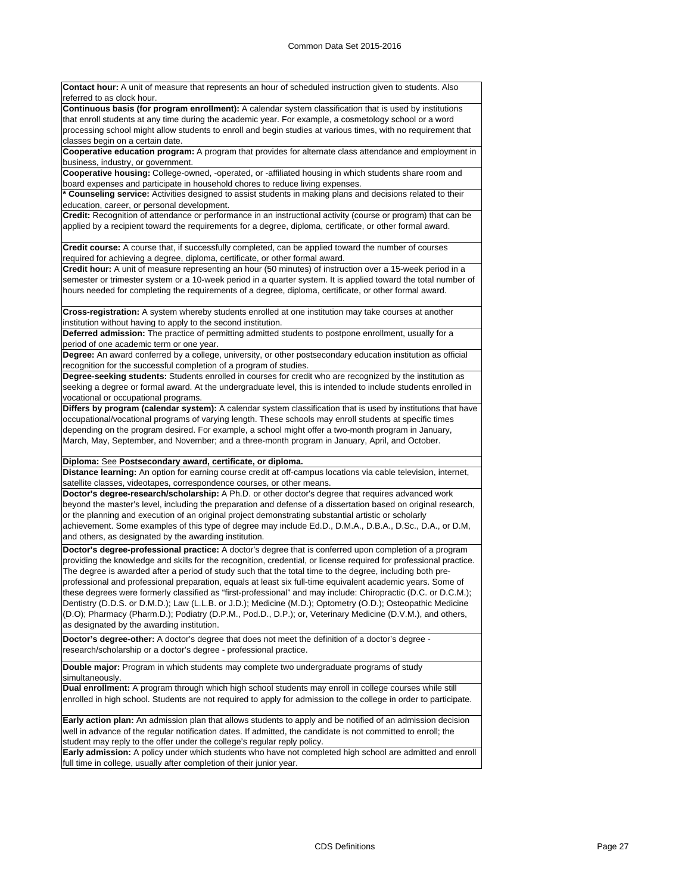**Contact hour:** A unit of measure that represents an hour of scheduled instruction given to students. Also referred to as clock hour. **Continuous basis (for program enrollment):** A calendar system classification that is used by institutions that enroll students at any time during the academic year. For example, a cosmetology school or a word

processing school might allow students to enroll and begin studies at various times, with no requirement that classes begin on a certain date.

**Cooperative education program:** A program that provides for alternate class attendance and employment in business, industry, or government.

**Cooperative housing:** College-owned, -operated, or -affiliated housing in which students share room and board expenses and participate in household chores to reduce living expenses.

**\* Counseling service:** Activities designed to assist students in making plans and decisions related to their education, career, or personal development.

**Credit:** Recognition of attendance or performance in an instructional activity (course or program) that can be applied by a recipient toward the requirements for a degree, diploma, certificate, or other formal award.

**Credit course:** A course that, if successfully completed, can be applied toward the number of courses required for achieving a degree, diploma, certificate, or other formal award.

**Credit hour:** A unit of measure representing an hour (50 minutes) of instruction over a 15-week period in a semester or trimester system or a 10-week period in a quarter system. It is applied toward the total number of hours needed for completing the requirements of a degree, diploma, certificate, or other formal award.

**Cross-registration:** A system whereby students enrolled at one institution may take courses at another institution without having to apply to the second institution.

**Deferred admission:** The practice of permitting admitted students to postpone enrollment, usually for a period of one academic term or one year.

**Degree:** An award conferred by a college, university, or other postsecondary education institution as official recognition for the successful completion of a program of studies.

**Degree-seeking students:** Students enrolled in courses for credit who are recognized by the institution as seeking a degree or formal award. At the undergraduate level, this is intended to include students enrolled in vocational or occupational programs.

**Differs by program (calendar system):** A calendar system classification that is used by institutions that have occupational/vocational programs of varying length. These schools may enroll students at specific times depending on the program desired. For example, a school might offer a two-month program in January, March, May, September, and November; and a three-month program in January, April, and October.

**Diploma:** See **Postsecondary award, certificate, or diploma.**

**Distance learning:** An option for earning course credit at off-campus locations via cable television, internet, satellite classes, videotapes, correspondence courses, or other means.

**Doctor's degree-research/scholarship:** A Ph.D. or other doctor's degree that requires advanced work beyond the master's level, including the preparation and defense of a dissertation based on original research, or the planning and execution of an original project demonstrating substantial artistic or scholarly achievement. Some examples of this type of degree may include Ed.D., D.M.A., D.B.A., D.Sc., D.A., or D.M, and others, as designated by the awarding institution.

**Doctor's degree-professional practice:** A doctor's degree that is conferred upon completion of a program providing the knowledge and skills for the recognition, credential, or license required for professional practice. The degree is awarded after a period of study such that the total time to the degree, including both preprofessional and professional preparation, equals at least six full-time equivalent academic years. Some of these degrees were formerly classified as "first-professional" and may include: Chiropractic (D.C. or D.C.M.); Dentistry (D.D.S. or D.M.D.); Law (L.L.B. or J.D.); Medicine (M.D.); Optometry (O.D.); Osteopathic Medicine (D.O); Pharmacy (Pharm.D.); Podiatry (D.P.M., Pod.D., D.P.); or, Veterinary Medicine (D.V.M.), and others, as designated by the awarding institution.

**Doctor's degree-other:** A doctor's degree that does not meet the definition of a doctor's degree research/scholarship or a doctor's degree - professional practice.

**Double major:** Program in which students may complete two undergraduate programs of study simultaneously.

**Dual enrollment:** A program through which high school students may enroll in college courses while still enrolled in high school. Students are not required to apply for admission to the college in order to participate.

**Early action plan:** An admission plan that allows students to apply and be notified of an admission decision well in advance of the regular notification dates. If admitted, the candidate is not committed to enroll; the student may reply to the offer under the college's regular reply policy.

**Early admission:** A policy under which students who have not completed high school are admitted and enroll full time in college, usually after completion of their junior year.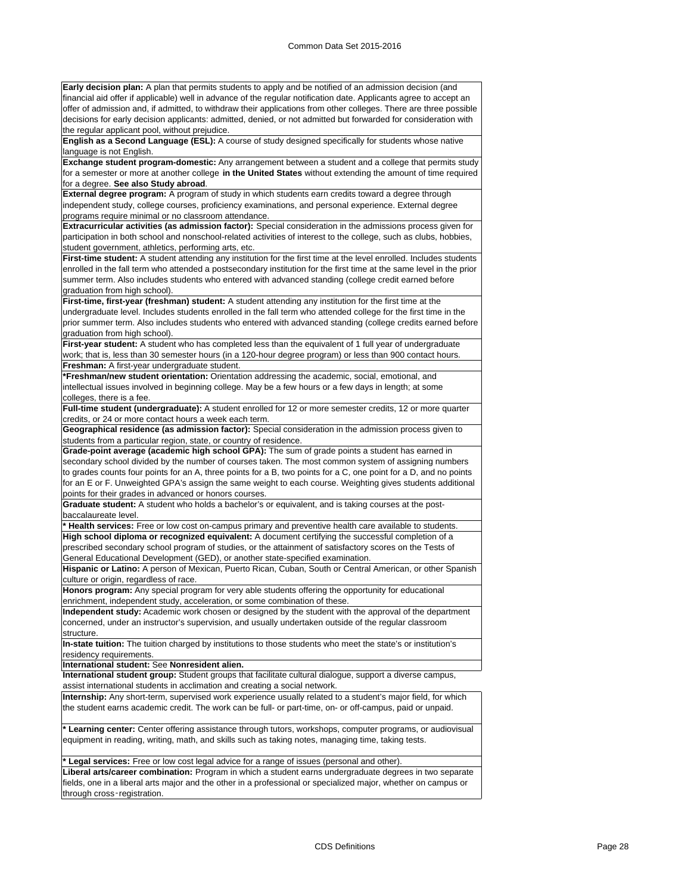**Early decision plan:** A plan that permits students to apply and be notified of an admission decision (and financial aid offer if applicable) well in advance of the regular notification date. Applicants agree to accept an offer of admission and, if admitted, to withdraw their applications from other colleges. There are three possible decisions for early decision applicants: admitted, denied, or not admitted but forwarded for consideration with the regular applicant pool, without prejudice.

**English as a Second Language (ESL):** A course of study designed specifically for students whose native language is not English.

**Exchange student program-domestic:** Any arrangement between a student and a college that permits study for a semester or more at another college **in the United States** without extending the amount of time required for a degree. **See also Study abroad**.

**External degree program:** A program of study in which students earn credits toward a degree through independent study, college courses, proficiency examinations, and personal experience. External degree programs require minimal or no classroom attendance.

**Extracurricular activities (as admission factor):** Special consideration in the admissions process given for participation in both school and nonschool-related activities of interest to the college, such as clubs, hobbies, student government, athletics, performing arts, etc.

**First-time student:** A student attending any institution for the first time at the level enrolled. Includes students enrolled in the fall term who attended a postsecondary institution for the first time at the same level in the prior summer term. Also includes students who entered with advanced standing (college credit earned before graduation from high school).

**First-time, first-year (freshman) student:** A student attending any institution for the first time at the undergraduate level. Includes students enrolled in the fall term who attended college for the first time in the prior summer term. Also includes students who entered with advanced standing (college credits earned before graduation from high school).

**First-year student:** A student who has completed less than the equivalent of 1 full year of undergraduate work; that is, less than 30 semester hours (in a 120-hour degree program) or less than 900 contact hours. **Freshman:** A first-year undergraduate student.

**\*Freshman/new student orientation:** Orientation addressing the academic, social, emotional, and intellectual issues involved in beginning college. May be a few hours or a few days in length; at some colleges, there is a fee.

**Full-time student (undergraduate):** A student enrolled for 12 or more semester credits, 12 or more quarter credits, or 24 or more contact hours a week each term.

**Geographical residence (as admission factor):** Special consideration in the admission process given to students from a particular region, state, or country of residence

**Grade-point average (academic high school GPA):** The sum of grade points a student has earned in secondary school divided by the number of courses taken. The most common system of assigning numbers to grades counts four points for an A, three points for a B, two points for a C, one point for a D, and no points for an E or F. Unweighted GPA's assign the same weight to each course. Weighting gives students additional points for their grades in advanced or honors courses.

**Graduate student:** A student who holds a bachelor's or equivalent, and is taking courses at the postbaccalaureate level.

**\* Health services:** Free or low cost on-campus primary and preventive health care available to students. **High school diploma or recognized equivalent:** A document certifying the successful completion of a prescribed secondary school program of studies, or the attainment of satisfactory scores on the Tests of General Educational Development (GED), or another state-specified examination.

**Hispanic or Latino:** A person of Mexican, Puerto Rican, Cuban, South or Central American, or other Spanish culture or origin, regardless of race.

**Honors program:** Any special program for very able students offering the opportunity for educational enrichment, independent study, acceleration, or some combination of these.

**Independent study:** Academic work chosen or designed by the student with the approval of the department concerned, under an instructor's supervision, and usually undertaken outside of the regular classroom structure.

**In-state tuition:** The tuition charged by institutions to those students who meet the state's or institution's residency requirements.

**International student:** See **Nonresident alien.**

**International student group:** Student groups that facilitate cultural dialogue, support a diverse campus, assist international students in acclimation and creating a social network.

**Internship:** Any short-term, supervised work experience usually related to a student's major field, for which the student earns academic credit. The work can be full- or part-time, on- or off-campus, paid or unpaid.

**\* Learning center:** Center offering assistance through tutors, workshops, computer programs, or audiovisual equipment in reading, writing, math, and skills such as taking notes, managing time, taking tests.

**\* Legal services:** Free or low cost legal advice for a range of issues (personal and other). **Liberal arts/career combination:** Program in which a student earns undergraduate degrees in two separate fields, one in a liberal arts major and the other in a professional or specialized major, whether on campus or through cross-registration.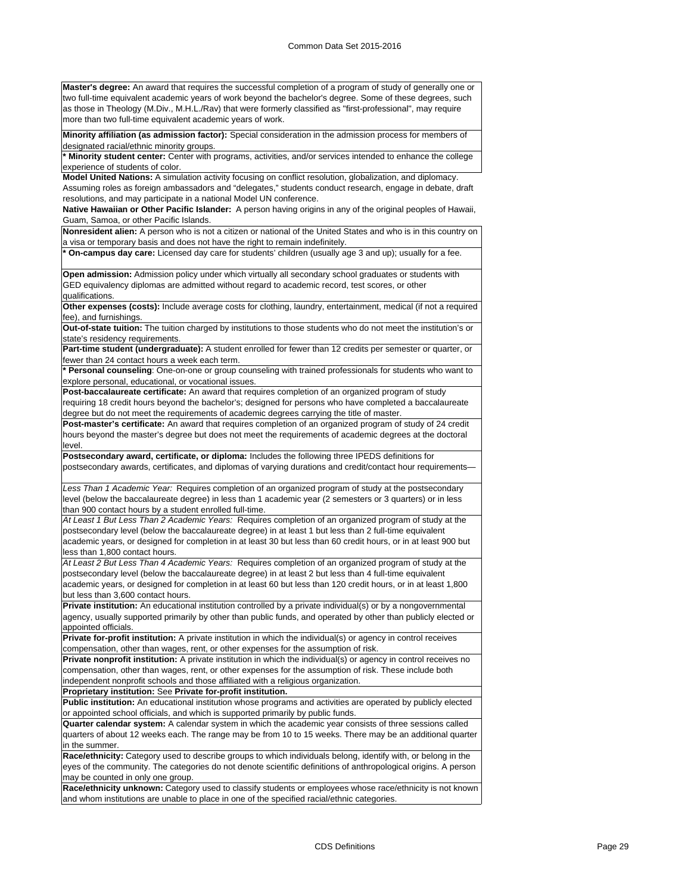**Master's degree:** An award that requires the successful completion of a program of study of generally one or two full-time equivalent academic years of work beyond the bachelor's degree. Some of these degrees, such as those in Theology (M.Div., M.H.L./Rav) that were formerly classified as "first-professional", may require more than two full-time equivalent academic years of work.

**Minority affiliation (as admission factor):** Special consideration in the admission process for members of designated racial/ethnic minority groups.

**\* Minority student center:** Center with programs, activities, and/or services intended to enhance the college experience of students of color.

**Model United Nations:** A simulation activity focusing on conflict resolution, globalization, and diplomacy. Assuming roles as foreign ambassadors and "delegates," students conduct research, engage in debate, draft

resolutions, and may participate in a national Model UN conference.

**Native Hawaiian or Other Pacific Islander:** A person having origins in any of the original peoples of Hawaii, Guam, Samoa, or other Pacific Islands.

**Nonresident alien:** A person who is not a citizen or national of the United States and who is in this country on a visa or temporary basis and does not have the right to remain indefinitely.

**\* On-campus day care:** Licensed day care for students' children (usually age 3 and up); usually for a fee.

**Open admission:** Admission policy under which virtually all secondary school graduates or students with GED equivalency diplomas are admitted without regard to academic record, test scores, or other qualifications.

**Other expenses (costs):** Include average costs for clothing, laundry, entertainment, medical (if not a required fee), and furnishings.

**Out-of-state tuition:** The tuition charged by institutions to those students who do not meet the institution's or state's residency requirements.

**Part-time student (undergraduate):** A student enrolled for fewer than 12 credits per semester or quarter, or fewer than 24 contact hours a week each term.

**\* Personal counseling**: One-on-one or group counseling with trained professionals for students who want to explore personal, educational, or vocational issues.

**Post-baccalaureate certificate:** An award that requires completion of an organized program of study requiring 18 credit hours beyond the bachelor's; designed for persons who have completed a baccalaureate degree but do not meet the requirements of academic degrees carrying the title of master.

**Post-master's certificate:** An award that requires completion of an organized program of study of 24 credit hours beyond the master's degree but does not meet the requirements of academic degrees at the doctoral level.

**Postsecondary award, certificate, or diploma:** Includes the following three IPEDS definitions for postsecondary awards, certificates, and diplomas of varying durations and credit/contact hour requirements—

*Less Than 1 Academic Year:* Requires completion of an organized program of study at the postsecondary level (below the baccalaureate degree) in less than 1 academic year (2 semesters or 3 quarters) or in less than 900 contact hours by a student enrolled full-time.

*At Least 1 But Less Than 2 Academic Years:* Requires completion of an organized program of study at the postsecondary level (below the baccalaureate degree) in at least 1 but less than 2 full-time equivalent academic years, or designed for completion in at least 30 but less than 60 credit hours, or in at least 900 but less than 1,800 contact hours.

*At Least 2 But Less Than 4 Academic Years:* Requires completion of an organized program of study at the postsecondary level (below the baccalaureate degree) in at least 2 but less than 4 full-time equivalent academic years, or designed for completion in at least 60 but less than 120 credit hours, or in at least 1,800 but less than 3,600 contact hours.

**Private institution:** An educational institution controlled by a private individual(s) or by a nongovernmental agency, usually supported primarily by other than public funds, and operated by other than publicly elected or appointed officials.

**Private for-profit institution:** A private institution in which the individual(s) or agency in control receives compensation, other than wages, rent, or other expenses for the assumption of risk.

**Private nonprofit institution:** A private institution in which the individual(s) or agency in control receives no compensation, other than wages, rent, or other expenses for the assumption of risk. These include both independent nonprofit schools and those affiliated with a religious organization.

**Proprietary institution:** See **Private for-profit institution.**

**Public institution:** An educational institution whose programs and activities are operated by publicly elected or appointed school officials, and which is supported primarily by public funds.

**Quarter calendar system:** A calendar system in which the academic year consists of three sessions called quarters of about 12 weeks each. The range may be from 10 to 15 weeks. There may be an additional quarter in the summer.

**Race/ethnicity:** Category used to describe groups to which individuals belong, identify with, or belong in the eyes of the community. The categories do not denote scientific definitions of anthropological origins. A person may be counted in only one group.

**Race/ethnicity unknown:** Category used to classify students or employees whose race/ethnicity is not known and whom institutions are unable to place in one of the specified racial/ethnic categories.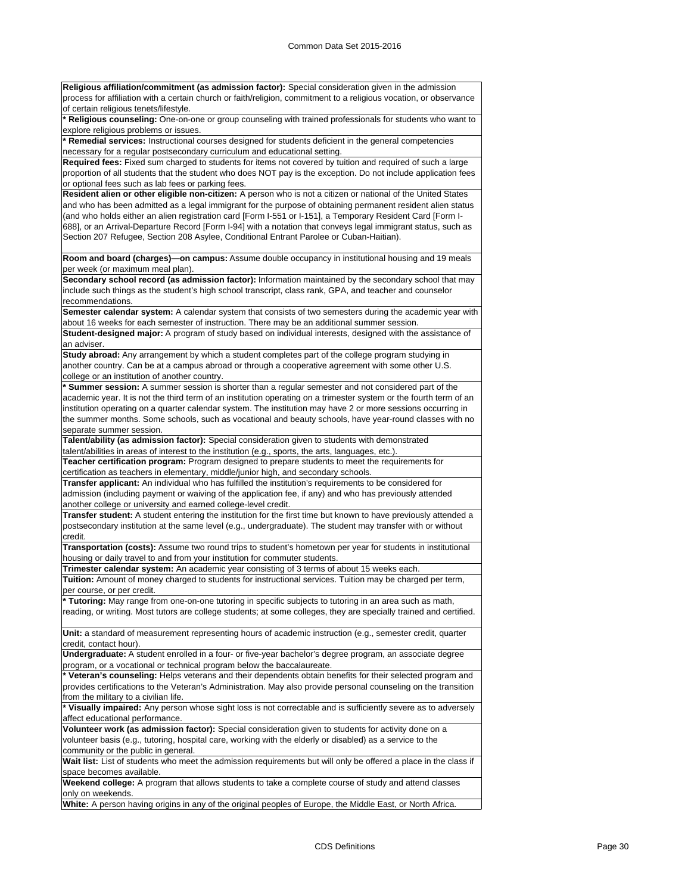| Religious affiliation/commitment (as admission factor): Special consideration given in the admission                                                                                                                                                                                                                                                                                                                                  |
|---------------------------------------------------------------------------------------------------------------------------------------------------------------------------------------------------------------------------------------------------------------------------------------------------------------------------------------------------------------------------------------------------------------------------------------|
| process for affiliation with a certain church or faith/religion, commitment to a religious vocation, or observance                                                                                                                                                                                                                                                                                                                    |
| of certain religious tenets/lifestyle.                                                                                                                                                                                                                                                                                                                                                                                                |
| * Religious counseling: One-on-one or group counseling with trained professionals for students who want to                                                                                                                                                                                                                                                                                                                            |
| explore religious problems or issues.<br>* Remedial services: Instructional courses designed for students deficient in the general competencies                                                                                                                                                                                                                                                                                       |
| necessary for a regular postsecondary curriculum and educational setting.                                                                                                                                                                                                                                                                                                                                                             |
| Required fees: Fixed sum charged to students for items not covered by tuition and required of such a large                                                                                                                                                                                                                                                                                                                            |
| proportion of all students that the student who does NOT pay is the exception. Do not include application fees                                                                                                                                                                                                                                                                                                                        |
| or optional fees such as lab fees or parking fees.                                                                                                                                                                                                                                                                                                                                                                                    |
| Resident alien or other eligible non-citizen: A person who is not a citizen or national of the United States                                                                                                                                                                                                                                                                                                                          |
| and who has been admitted as a legal immigrant for the purpose of obtaining permanent resident alien status<br>(and who holds either an alien registration card [Form I-551 or I-151], a Temporary Resident Card [Form I-<br>688], or an Arrival-Departure Record [Form I-94] with a notation that conveys legal immigrant status, such as<br>Section 207 Refugee, Section 208 Asylee, Conditional Entrant Parolee or Cuban-Haitian). |
| Room and board (charges)—on campus: Assume double occupancy in institutional housing and 19 meals<br>per week (or maximum meal plan).                                                                                                                                                                                                                                                                                                 |
| Secondary school record (as admission factor): Information maintained by the secondary school that may                                                                                                                                                                                                                                                                                                                                |
| include such things as the student's high school transcript, class rank, GPA, and teacher and counselor                                                                                                                                                                                                                                                                                                                               |
| recommendations.                                                                                                                                                                                                                                                                                                                                                                                                                      |
| Semester calendar system: A calendar system that consists of two semesters during the academic year with                                                                                                                                                                                                                                                                                                                              |
| about 16 weeks for each semester of instruction. There may be an additional summer session.                                                                                                                                                                                                                                                                                                                                           |
| <b>Student-designed major:</b> A program of study based on individual interests, designed with the assistance of<br>an adviser.                                                                                                                                                                                                                                                                                                       |
| Study abroad: Any arrangement by which a student completes part of the college program studying in                                                                                                                                                                                                                                                                                                                                    |
| another country. Can be at a campus abroad or through a cooperative agreement with some other U.S.                                                                                                                                                                                                                                                                                                                                    |
| college or an institution of another country.                                                                                                                                                                                                                                                                                                                                                                                         |
| * Summer session: A summer session is shorter than a regular semester and not considered part of the                                                                                                                                                                                                                                                                                                                                  |
| academic year. It is not the third term of an institution operating on a trimester system or the fourth term of an                                                                                                                                                                                                                                                                                                                    |
| institution operating on a quarter calendar system. The institution may have 2 or more sessions occurring in                                                                                                                                                                                                                                                                                                                          |
| the summer months. Some schools, such as vocational and beauty schools, have year-round classes with no                                                                                                                                                                                                                                                                                                                               |
| separate summer session.                                                                                                                                                                                                                                                                                                                                                                                                              |
| Talent/ability (as admission factor): Special consideration given to students with demonstrated                                                                                                                                                                                                                                                                                                                                       |
| talent/abilities in areas of interest to the institution (e.g., sports, the arts, languages, etc.).                                                                                                                                                                                                                                                                                                                                   |
| <b>Teacher certification program:</b> Program designed to prepare students to meet the requirements for<br>certification as teachers in elementary, middle/junior high, and secondary schools.                                                                                                                                                                                                                                        |
| Transfer applicant: An individual who has fulfilled the institution's requirements to be considered for                                                                                                                                                                                                                                                                                                                               |
| admission (including payment or waiving of the application fee, if any) and who has previously attended                                                                                                                                                                                                                                                                                                                               |
| another college or university and earned college-level credit.                                                                                                                                                                                                                                                                                                                                                                        |
| Transfer student: A student entering the institution for the first time but known to have previously attended a                                                                                                                                                                                                                                                                                                                       |
| postsecondary institution at the same level (e.g., undergraduate). The student may transfer with or without                                                                                                                                                                                                                                                                                                                           |
| credit.                                                                                                                                                                                                                                                                                                                                                                                                                               |
| Transportation (costs): Assume two round trips to student's hometown per year for students in institutional                                                                                                                                                                                                                                                                                                                           |
| housing or daily travel to and from your institution for commuter students.                                                                                                                                                                                                                                                                                                                                                           |
| Trimester calendar system: An academic year consisting of 3 terms of about 15 weeks each.                                                                                                                                                                                                                                                                                                                                             |
| Tuition: Amount of money charged to students for instructional services. Tuition may be charged per term,                                                                                                                                                                                                                                                                                                                             |
| per course, or per credit.                                                                                                                                                                                                                                                                                                                                                                                                            |
| * Tutoring: May range from one-on-one tutoring in specific subjects to tutoring in an area such as math,                                                                                                                                                                                                                                                                                                                              |
| reading, or writing. Most tutors are college students; at some colleges, they are specially trained and certified.                                                                                                                                                                                                                                                                                                                    |
| Unit: a standard of measurement representing hours of academic instruction (e.g., semester credit, quarter                                                                                                                                                                                                                                                                                                                            |
| credit, contact hour).                                                                                                                                                                                                                                                                                                                                                                                                                |
| Undergraduate: A student enrolled in a four- or five-year bachelor's degree program, an associate degree                                                                                                                                                                                                                                                                                                                              |
| program, or a vocational or technical program below the baccalaureate.                                                                                                                                                                                                                                                                                                                                                                |
| * Veteran's counseling: Helps veterans and their dependents obtain benefits for their selected program and                                                                                                                                                                                                                                                                                                                            |
| provides certifications to the Veteran's Administration. May also provide personal counseling on the transition                                                                                                                                                                                                                                                                                                                       |
| from the military to a civilian life.                                                                                                                                                                                                                                                                                                                                                                                                 |
| * Visually impaired: Any person whose sight loss is not correctable and is sufficiently severe as to adversely                                                                                                                                                                                                                                                                                                                        |
| affect educational performance.                                                                                                                                                                                                                                                                                                                                                                                                       |
| Volunteer work (as admission factor): Special consideration given to students for activity done on a                                                                                                                                                                                                                                                                                                                                  |
| volunteer basis (e.g., tutoring, hospital care, working with the elderly or disabled) as a service to the                                                                                                                                                                                                                                                                                                                             |
| community or the public in general.                                                                                                                                                                                                                                                                                                                                                                                                   |
| Wait list: List of students who meet the admission requirements but will only be offered a place in the class if                                                                                                                                                                                                                                                                                                                      |
| space becomes available.<br>Weekend college: A program that allows students to take a complete course of study and attend classes                                                                                                                                                                                                                                                                                                     |
| only on weekends.                                                                                                                                                                                                                                                                                                                                                                                                                     |
|                                                                                                                                                                                                                                                                                                                                                                                                                                       |

**White:** A person having origins in any of the original peoples of Europe, the Middle East, or North Africa.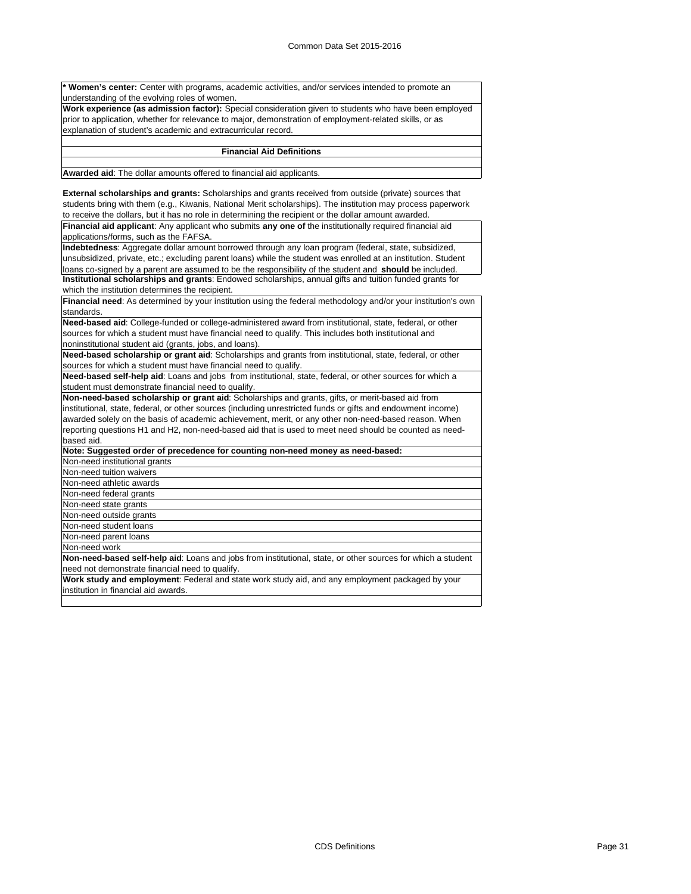Women's center: Center with programs, academic activities, and/or services intended to promote an understanding of the evolving roles of women.

**Work experience (as admission factor):** Special consideration given to students who have been employed prior to application, whether for relevance to major, demonstration of employment-related skills, or as explanation of student's academic and extracurricular record.

#### **Financial Aid Definitions**

**Awarded aid**: The dollar amounts offered to financial aid applicants.

**External scholarships and grants:** Scholarships and grants received from outside (private) sources that students bring with them (e.g., Kiwanis, National Merit scholarships). The institution may process paperwork to receive the dollars, but it has no role in determining the recipient or the dollar amount awarded.

**Financial aid applicant**: Any applicant who submits **any one of** the institutionally required financial aid applications/forms, such as the FAFSA.

**Indebtedness**: Aggregate dollar amount borrowed through any loan program (federal, state, subsidized, unsubsidized, private, etc.; excluding parent loans) while the student was enrolled at an institution. Student loans co-signed by a parent are assumed to be the responsibility of the student and **should** be included. **Institutional scholarships and grants**: Endowed scholarships, annual gifts and tuition funded grants for which the institution determines the recipient.

**Financial need**: As determined by your institution using the federal methodology and/or your institution's own standards.

**Need-based aid**: College-funded or college-administered award from institutional, state, federal, or other sources for which a student must have financial need to qualify. This includes both institutional and noninstitutional student aid (grants, jobs, and loans).

**Need-based scholarship or grant aid**: Scholarships and grants from institutional, state, federal, or other sources for which a student must have financial need to qualify.

**Need-based self-help aid**: Loans and jobs from institutional, state, federal, or other sources for which a student must demonstrate financial need to qualify.

**Non-need-based scholarship or grant aid**: Scholarships and grants, gifts, or merit-based aid from institutional, state, federal, or other sources (including unrestricted funds or gifts and endowment income) awarded solely on the basis of academic achievement, merit, or any other non-need-based reason. When reporting questions H1 and H2, non-need-based aid that is used to meet need should be counted as needbased aid.

| Note: Suggested order of precedence for counting non-need money as need-based:                               |
|--------------------------------------------------------------------------------------------------------------|
| Non-need institutional grants                                                                                |
| Non-need tuition waivers                                                                                     |
| Non-need athletic awards                                                                                     |
| Non-need federal grants                                                                                      |
| Non-need state grants                                                                                        |
| Non-need outside grants                                                                                      |
| Non-need student loans                                                                                       |
| Non-need parent loans                                                                                        |
| Non-need work                                                                                                |
| Non-need-based self-help aid: Loans and jobs from institutional, state, or other sources for which a student |
| need not demonstrate financial need to qualify.                                                              |
| Work study and employment: Federal and state work study aid, and any employment packaged by your             |

institution in financial aid awards.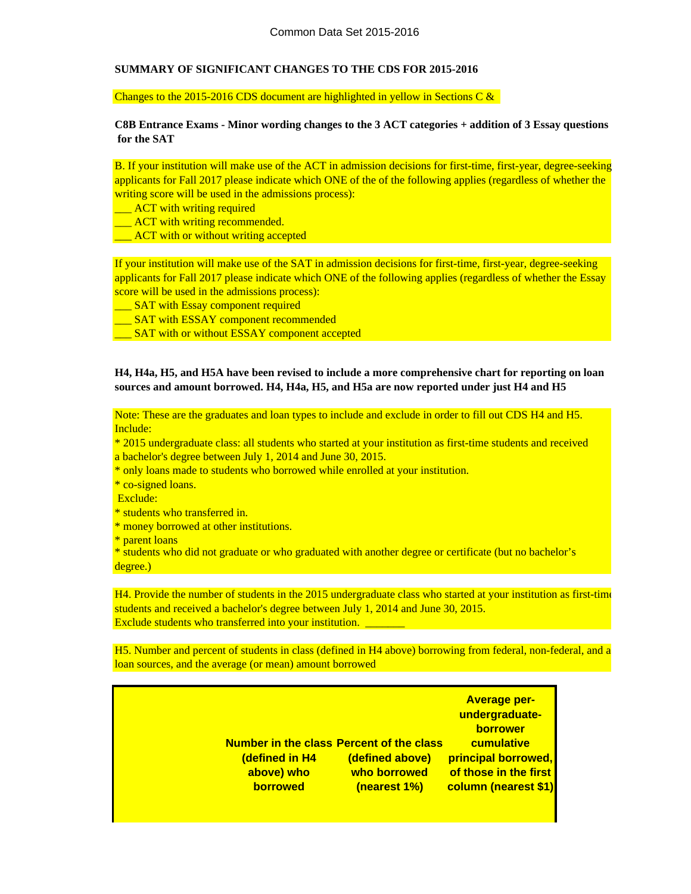# **SUMMARY OF SIGNIFICANT CHANGES TO THE CDS FOR 2015-2016**

Changes to the 2015-2016 CDS document are highlighted in yellow in Sections C &

**C8B Entrance Exams - Minor wording changes to the 3 ACT categories + addition of 3 Essay questions for the SAT**

B. If your institution will make use of the ACT in admission decisions for first-time, first-year, degree-seeking applicants for Fall 2017 please indicate which ONE of the of the following applies (regardless of whether the writing score will be used in the admissions process):

- **\_\_\_** ACT with writing required
- **\_\_\_\_ ACT** with writing recommended.
- **EXCOUTE:** ACT with or without writing accepted

If your institution will make use of the SAT in admission decisions for first-time, first-year, degree-seeking applicants for Fall 2017 please indicate which ONE of the following applies (regardless of whether the Essay score will be used in the admissions process):

- **SAT** with Essay component required
- **SAT with ESSAY component recommended**
- **SAT** with or without ESSAY component accepted

# **H4, H4a, H5, and H5A have been revised to include a more comprehensive chart for reporting on loan sources and amount borrowed. H4, H4a, H5, and H5a are now reported under just H4 and H5**

Note: These are the graduates and loan types to include and exclude in order to fill out CDS H4 and H5. Include:

\* 2015 undergraduate class: all students who started at your institution as first-time students and received a bachelor's degree between July 1, 2014 and June 30, 2015.

- \* only loans made to students who borrowed while enrolled at your institution.
- \* co-signed loans.
- Exclude:
- \* students who transferred in.
- \* money borrowed at other institutions.
- \* parent loans

\* students who did not graduate or who graduated with another degree or certificate (but no bachelor's degree.)

H4. Provide the number of students in the 2015 undergraduate class who started at your institution as first-time students and received a bachelor's degree between July 1, 2014 and June 30, 2015. Exclude students who transferred into your institution.

loan sources, and the average (or mean) amount borrowed H5. Number and percent of students in class (defined in H4 above) borrowing from federal, non-federal, and a

| <b>Number in the class Percent of the class</b><br>(defined in H4 | (defined above) | <b>Average per-</b><br>undergraduate-<br><b>borrower</b><br>cumulative<br>principal borrowed, |
|-------------------------------------------------------------------|-----------------|-----------------------------------------------------------------------------------------------|
| above) who                                                        | who borrowed    | of those in the first                                                                         |
| <b>borrowed</b>                                                   | (nearest 1%)    | column (nearest \$1)                                                                          |